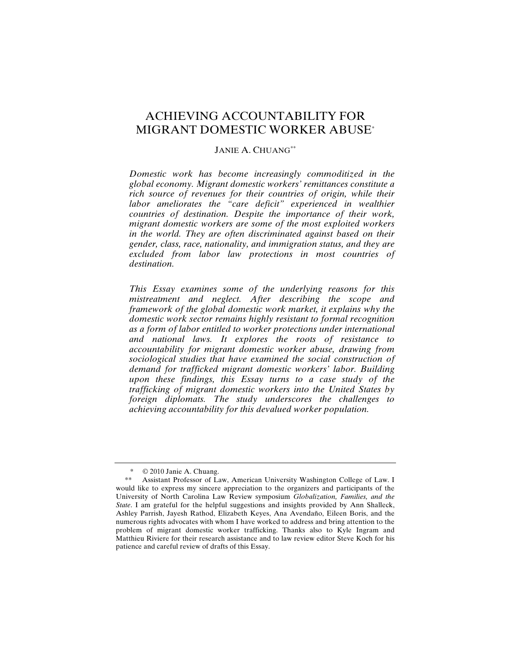# ACHIEVING ACCOUNTABILITY FOR MIGRANT DOMESTIC WORKER ABUSE\*

### JANIE A. CHUANG\*\*

*Domestic work has become increasingly commoditized in the global economy. Migrant domestic workers' remittances constitute a rich source of revenues for their countries of origin, while their*  labor ameliorates the "care deficit" experienced in wealthier *countries of destination. Despite the importance of their work, migrant domestic workers are some of the most exploited workers in the world. They are often discriminated against based on their gender, class, race, nationality, and immigration status, and they are excluded from labor law protections in most countries of destination.*

*This Essay examines some of the underlying reasons for this mistreatment and neglect. After describing the scope and framework of the global domestic work market, it explains why the domestic work sector remains highly resistant to formal recognition as a form of labor entitled to worker protections under international and national laws. It explores the roots of resistance to accountability for migrant domestic worker abuse, drawing from sociological studies that have examined the social construction of demand for trafficked migrant domestic workers' labor. Building upon these findings, this Essay turns to a case study of the trafficking of migrant domestic workers into the United States by foreign diplomats. The study underscores the challenges to achieving accountability for this devalued worker population.*

 <sup>\* © 2010</sup> Janie A. Chuang.

 <sup>\*\*</sup> Assistant Professor of Law, American University Washington College of Law. I would like to express my sincere appreciation to the organizers and participants of the University of North Carolina Law Review symposium *Globalization, Families, and the State*. I am grateful for the helpful suggestions and insights provided by Ann Shalleck, Ashley Parrish, Jayesh Rathod, Elizabeth Keyes, Ana Avendaño, Eileen Boris, and the numerous rights advocates with whom I have worked to address and bring attention to the problem of migrant domestic worker trafficking. Thanks also to Kyle Ingram and Matthieu Riviere for their research assistance and to law review editor Steve Koch for his patience and careful review of drafts of this Essay.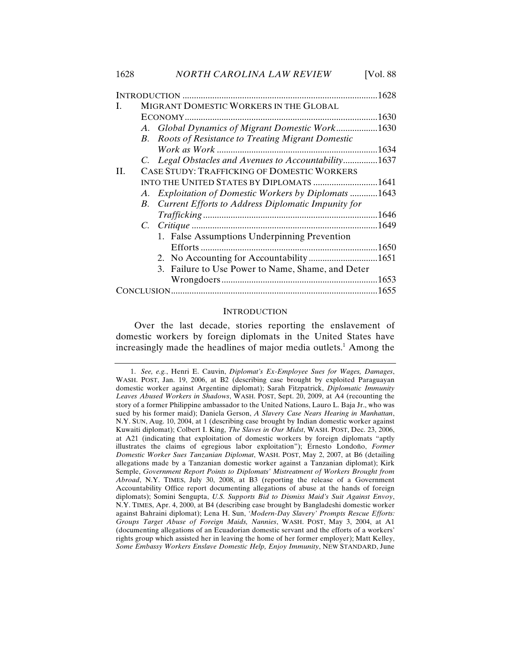#### **INTRODUCTION**

Over the last decade, stories reporting the enslavement of domestic workers by foreign diplomats in the United States have increasingly made the headlines of major media outlets.<sup>1</sup> Among the

<sup>1.</sup> *See, e.g.*, Henri E. Cauvin, *Diplomat's Ex-Employee Sues for Wages, Damages*, WASH. POST, Jan. 19, 2006, at B2 (describing case brought by exploited Paraguayan domestic worker against Argentine diplomat); Sarah Fitzpatrick, *Diplomatic Immunity Leaves Abused Workers in Shadows*, WASH. POST, Sept. 20, 2009, at A4 (recounting the story of a former Philippine ambassador to the United Nations, Lauro L. Baja Jr., who was sued by his former maid); Daniela Gerson, *A Slavery Case Nears Hearing in Manhattan*, N.Y. SUN, Aug. 10, 2004, at 1 (describing case brought by Indian domestic worker against Kuwaiti diplomat); Colbert I. King, *The Slaves in Our Midst*, WASH. POST, Dec. 23, 2006, at A21 (indicating that exploitation of domestic workers by foreign diplomats "aptly illustrates the claims of egregious labor exploitation"); Ernesto Londoño, *Former Domestic Worker Sues Tanzanian Diplomat*, WASH. POST, May 2, 2007, at B6 (detailing allegations made by a Tanzanian domestic worker against a Tanzanian diplomat); Kirk Semple, *Government Report Points to Diplomats' Mistreatment of Workers Brought from Abroad*, N.Y. TIMES, July 30, 2008, at B3 (reporting the release of a Government Accountability Office report documenting allegations of abuse at the hands of foreign diplomats); Somini Sengupta, *U.S. Supports Bid to Dismiss Maid's Suit Against Envoy*, N.Y. TIMES, Apr. 4, 2000, at B4 (describing case brought by Bangladeshi domestic worker against Bahraini diplomat); Lena H. Sun, *'Modern-Day Slavery' Prompts Rescue Efforts: Groups Target Abuse of Foreign Maids, Nannies*, WASH. POST, May 3, 2004, at A1 (documenting allegations of an Ecuadorian domestic servant and the efforts of a workers' rights group which assisted her in leaving the home of her former employer); Matt Kelley, *Some Embassy Workers Enslave Domestic Help, Enjoy Immunity*, NEW STANDARD, June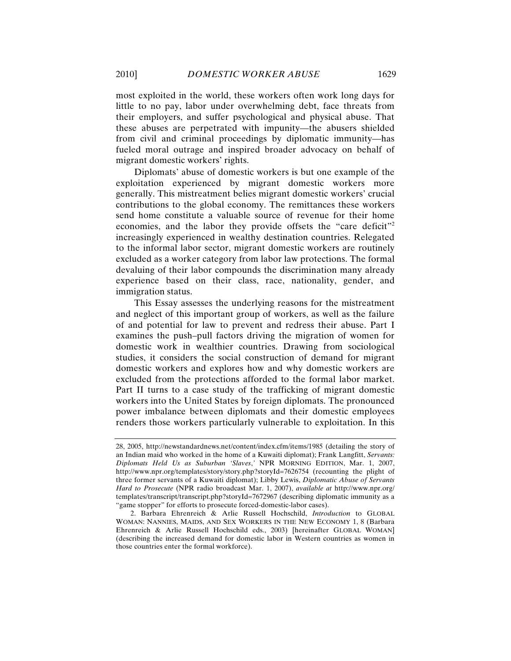most exploited in the world, these workers often work long days for little to no pay, labor under overwhelming debt, face threats from their employers, and suffer psychological and physical abuse. That these abuses are perpetrated with impunity—the abusers shielded from civil and criminal proceedings by diplomatic immunity—has fueled moral outrage and inspired broader advocacy on behalf of migrant domestic workers' rights.

Diplomats' abuse of domestic workers is but one example of the exploitation experienced by migrant domestic workers more generally. This mistreatment belies migrant domestic workers' crucial contributions to the global economy. The remittances these workers send home constitute a valuable source of revenue for their home economies, and the labor they provide offsets the "care deficit"2 increasingly experienced in wealthy destination countries. Relegated to the informal labor sector, migrant domestic workers are routinely excluded as a worker category from labor law protections. The formal devaluing of their labor compounds the discrimination many already experience based on their class, race, nationality, gender, and immigration status.

This Essay assesses the underlying reasons for the mistreatment and neglect of this important group of workers, as well as the failure of and potential for law to prevent and redress their abuse. Part I examines the push–pull factors driving the migration of women for domestic work in wealthier countries. Drawing from sociological studies, it considers the social construction of demand for migrant domestic workers and explores how and why domestic workers are excluded from the protections afforded to the formal labor market. Part II turns to a case study of the trafficking of migrant domestic workers into the United States by foreign diplomats. The pronounced power imbalance between diplomats and their domestic employees renders those workers particularly vulnerable to exploitation. In this

<sup>28, 2005,</sup> http://newstandardnews.net/content/index.cfm/items/1985 (detailing the story of an Indian maid who worked in the home of a Kuwaiti diplomat); Frank Langfitt, *Servants: Diplomats Held Us as Suburban 'Slaves*,*'* NPR MORNING EDITION, Mar. 1, 2007, http://www.npr.org/templates/story/story.php?storyId=7626754 (recounting the plight of three former servants of a Kuwaiti diplomat); Libby Lewis, *Diplomatic Abuse of Servants Hard to Prosecute* (NPR radio broadcast Mar. 1, 2007), *available at* http://www.npr.org/ templates/transcript/transcript.php?storyId=7672967 (describing diplomatic immunity as a "game stopper" for efforts to prosecute forced-domestic-labor cases).

<sup>2.</sup> Barbara Ehrenreich & Arlie Russell Hochschild, *Introduction* to GLOBAL WOMAN: NANNIES, MAIDS, AND SEX WORKERS IN THE NEW ECONOMY 1, 8 (Barbara Ehrenreich & Arlie Russell Hochschild eds., 2003) [hereinafter GLOBAL WOMAN] (describing the increased demand for domestic labor in Western countries as women in those countries enter the formal workforce).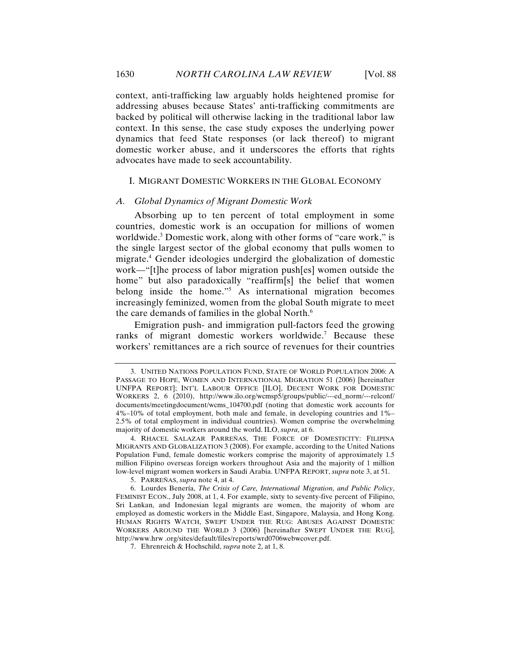context, anti-trafficking law arguably holds heightened promise for addressing abuses because States' anti-trafficking commitments are backed by political will otherwise lacking in the traditional labor law context. In this sense, the case study exposes the underlying power dynamics that feed State responses (or lack thereof) to migrant domestic worker abuse, and it underscores the efforts that rights advocates have made to seek accountability.

### I. MIGRANT DOMESTIC WORKERS IN THE GLOBAL ECONOMY

#### *A. Global Dynamics of Migrant Domestic Work*

Absorbing up to ten percent of total employment in some countries, domestic work is an occupation for millions of women worldwide.<sup>3</sup> Domestic work, along with other forms of "care work," is the single largest sector of the global economy that pulls women to migrate.4 Gender ideologies undergird the globalization of domestic work—"[t]he process of labor migration push[es] women outside the home" but also paradoxically "reaffirm[s] the belief that women belong inside the home."5 As international migration becomes increasingly feminized, women from the global South migrate to meet the care demands of families in the global North.<sup>6</sup>

Emigration push- and immigration pull-factors feed the growing ranks of migrant domestic workers worldwide.<sup>7</sup> Because these workers' remittances are a rich source of revenues for their countries

<sup>3.</sup> UNITED NATIONS POPULATION FUND, STATE OF WORLD POPULATION 2006: A PASSAGE TO HOPE, WOMEN AND INTERNATIONAL MIGRATION 51 (2006) [hereinafter UNFPA REPORT]; INT'L LABOUR OFFICE [ILO], DECENT WORK FOR DOMESTIC WORKERS 2, 6 (2010), http://www.ilo.org/wcmsp5/groups/public/---ed\_norm/---relconf/ documents/meetingdocument/wcms\_104700.pdf (noting that domestic work accounts for 4%–10% of total employment, both male and female, in developing countries and 1%– 2.5% of total employment in individual countries). Women comprise the overwhelming majority of domestic workers around the world. ILO, *supra*, at 6.

<sup>4.</sup> RHACEL SALAZAR PARREÑAS, THE FORCE OF DOMESTICITY: FILIPINA MIGRANTS AND GLOBALIZATION 3 (2008). For example, according to the United Nations Population Fund, female domestic workers comprise the majority of approximately 1.5 million Filipino overseas foreign workers throughout Asia and the majority of 1 million low-level migrant women workers in Saudi Arabia. UNFPA REPORT, *supra* note 3, at 51.

<sup>5.</sup> PARREÑAS, *supra* note 4, at 4.

<sup>6.</sup> Lourdes Benería, *The Crisis of Care, International Migration, and Public Policy*, FEMINIST ECON., July 2008, at 1, 4. For example, sixty to seventy-five percent of Filipino, Sri Lankan, and Indonesian legal migrants are women, the majority of whom are employed as domestic workers in the Middle East, Singapore, Malaysia, and Hong Kong. HUMAN RIGHTS WATCH, SWEPT UNDER THE RUG: ABUSES AGAINST DOMESTIC WORKERS AROUND THE WORLD 3 (2006) [hereinafter SWEPT UNDER THE RUG], http://www.hrw .org/sites/default/files/reports/wrd0706webwcover.pdf.

<sup>7.</sup> Ehrenreich & Hochschild, *supra* note 2, at 1, 8.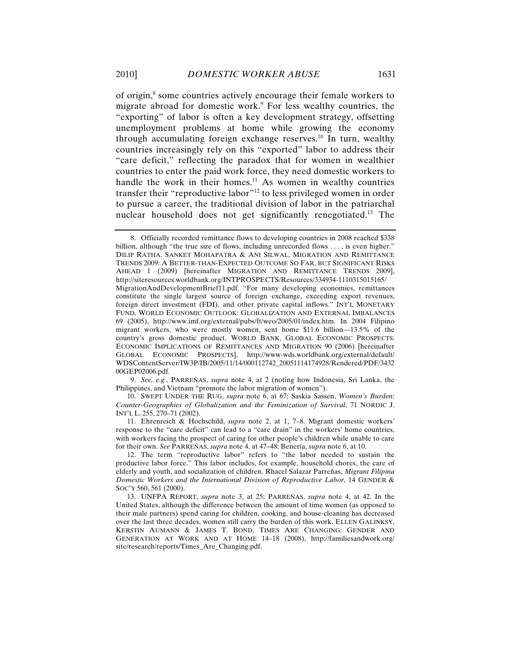of origin,<sup>8</sup> some countries actively encourage their female workers to migrate abroad for domestic work.<sup>9</sup> For less wealthy countries, the "exporting" of labor is often a key development strategy, offsetting unemployment problems at home while growing the economy through accumulating foreign exchange reserves.10 In turn, wealthy countries increasingly rely on this "exported" labor to address their "care deficit," reflecting the paradox that for women in wealthier countries to enter the paid work force, they need domestic workers to handle the work in their homes.<sup>11</sup> As women in wealthy countries transfer their "reproductive labor"<sup>12</sup> to less privileged women in order to pursue a career, the traditional division of labor in the patriarchal nuclear household does not get significantly renegotiated.13 The

9. *See, e.g.*, PARREÑAS, *supra* note 4, at 2 (noting how Indonesia, Sri Lanka, the Philippines, and Vietnam "promote the labor migration of women").

10. SWEPT UNDER THE RUG, *supra* note 6, at 67; Saskia Sassen, *Women's Burden: Counter-Geographies of Globalization and the Feminization of Survival*, 71 NORDIC J. INT'L L. 255, 270–71 (2002).

11. Ehrenreich & Hochschild, *supra* note 2, at 1, 7–8. Migrant domestic workers' response to the "care deficit" can lead to a "care drain" in the workers' home countries, with workers facing the prospect of caring for other people's children while unable to care for their own. *See* PARREÑAS, *supra* note 4, at 47–48; Benería, *supra* note 6, at 10.

<sup>8.</sup> Officially recorded remittance flows to developing countries in 2008 reached \$338 billion, although "the true size of flows, including unrecorded flows . . . , is even higher." DILIP RATHA, SANKET MOHAPATRA & ANI SILWAL, MIGRATION AND REMITTANCE TRENDS 2009: A BETTER-THAN-EXPECTED OUTCOME SO FAR, BUT SIGNIFICANT RISKS AHEAD 1 (2009) [hereinafter MIGRATION AND REMITTANCE TRENDS 2009], http://siteresources.worldbank.org/INTPROSPECTS/Resources/334934-1110315015165/ MigrationAndDevelopmentBrief11.pdf. "For many developing economies, remittances constitute the single largest source of foreign exchange, exceeding export revenues, foreign direct investment (FDI), and other private capital inflows." INT'L MONETARY FUND, WORLD ECONOMIC OUTLOOK: GLOBALIZATION AND EXTERNAL IMBALANCES 69 (2005), http://www.imf.org/external/pubs/ft/weo/2005/01/index.htm. In 2004 Filipino migrant workers, who were mostly women, sent home \$11.6 billion—13.5% of the country's gross domestic product. WORLD BANK, GLOBAL ECONOMIC PROSPECTS: ECONOMIC IMPLICATIONS OF REMITTANCES AND MIGRATION 90 (2006) [hereinafter GLOBAL ECONOMIC PROSPECTS], http://www-wds.worldbank.org/external/default/ WDSContentServer/IW3P/IB/2005/11/14/000112742\_20051114174928/Rendered/PDF/3432 00GEP02006.pdf.

<sup>12.</sup> The term "reproductive labor" refers to "the labor needed to sustain the productive labor force." This labor includes, for example, household chores, the care of elderly and youth, and socialization of children. Rhacel Salazar Parreñas, *Migrant Filipina Domestic Workers and the International Division of Reproductive Labor*, 14 GENDER & SOC'Y 560, 561 (2000).

<sup>13.</sup> UNFPA REPORT, *supra* note 3, at 25; PARREÑAS, *supra* note 4, at 42. In the United States, although the difference between the amount of time women (as opposed to their male partners) spend caring for children, cooking, and house-cleaning has decreased over the last three decades, women still carry the burden of this work. ELLEN GALINKSY, KERSTIN AUMANN & JAMES T. BOND, TIMES ARE CHANGING: GENDER AND GENERATION AT WORK AND AT HOME 14–18 (2008), http://familiesandwork.org/ site/research/reports/Times\_Are\_Changing.pdf.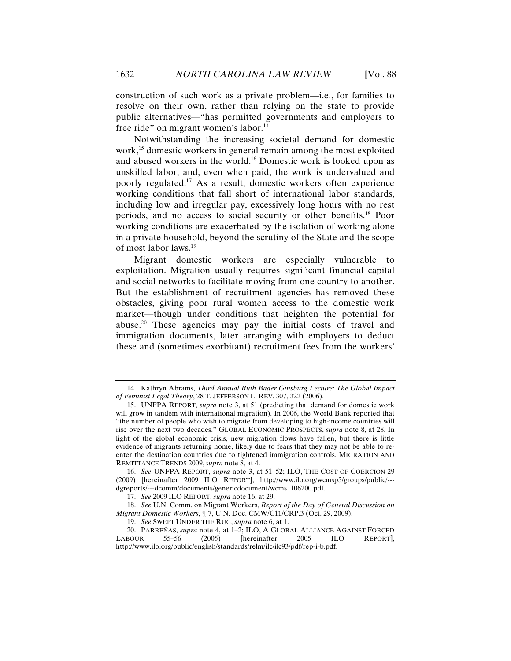construction of such work as a private problem—i.e., for families to resolve on their own, rather than relying on the state to provide public alternatives—"has permitted governments and employers to free ride" on migrant women's labor.<sup>14</sup>

Notwithstanding the increasing societal demand for domestic work,<sup>15</sup> domestic workers in general remain among the most exploited and abused workers in the world.16 Domestic work is looked upon as unskilled labor, and, even when paid, the work is undervalued and poorly regulated.17 As a result, domestic workers often experience working conditions that fall short of international labor standards, including low and irregular pay, excessively long hours with no rest periods, and no access to social security or other benefits.18 Poor working conditions are exacerbated by the isolation of working alone in a private household, beyond the scrutiny of the State and the scope of most labor laws.19

Migrant domestic workers are especially vulnerable to exploitation. Migration usually requires significant financial capital and social networks to facilitate moving from one country to another. But the establishment of recruitment agencies has removed these obstacles, giving poor rural women access to the domestic work market—though under conditions that heighten the potential for abuse.20 These agencies may pay the initial costs of travel and immigration documents, later arranging with employers to deduct these and (sometimes exorbitant) recruitment fees from the workers'

<sup>14.</sup> Kathryn Abrams, *Third Annual Ruth Bader Ginsburg Lecture: The Global Impact of Feminist Legal Theory*, 28 T. JEFFERSON L. REV. 307, 322 (2006).

<sup>15.</sup> UNFPA REPORT, *supra* note 3, at 51 (predicting that demand for domestic work will grow in tandem with international migration). In 2006, the World Bank reported that "the number of people who wish to migrate from developing to high-income countries will rise over the next two decades." GLOBAL ECONOMIC PROSPECTS, *supra* note 8, at 28. In light of the global economic crisis, new migration flows have fallen, but there is little evidence of migrants returning home, likely due to fears that they may not be able to reenter the destination countries due to tightened immigration controls. MIGRATION AND REMITTANCE TRENDS 2009, *supra* note 8, at 4.

<sup>16.</sup> *See* UNFPA REPORT, *supra* note 3, at 51–52; ILO, THE COST OF COERCION 29 (2009) [hereinafter 2009 ILO REPORT], http://www.ilo.org/wcmsp5/groups/public/-- dgreports/---dcomm/documents/genericdocument/wcms\_106200.pdf.

<sup>17.</sup> *See* 2009 ILO REPORT, *supra* note 16, at 29.

<sup>18.</sup> *See* U.N. Comm. on Migrant Workers, *Report of the Day of General Discussion on Migrant Domestic Workers*, ¶ 7, U.N. Doc. CMW/C11/CRP.3 (Oct. 29, 2009).

<sup>19.</sup> *See* SWEPT UNDER THE RUG, *supra* note 6, at 1.

<sup>20.</sup> PARREÑAS, *supra* note 4, at 1–2; ILO, A GLOBAL ALLIANCE AGAINST FORCED LABOUR 55–56 (2005) [hereinafter 2005 ILO REPORT], http://www.ilo.org/public/english/standards/relm/ilc/ilc93/pdf/rep-i-b.pdf.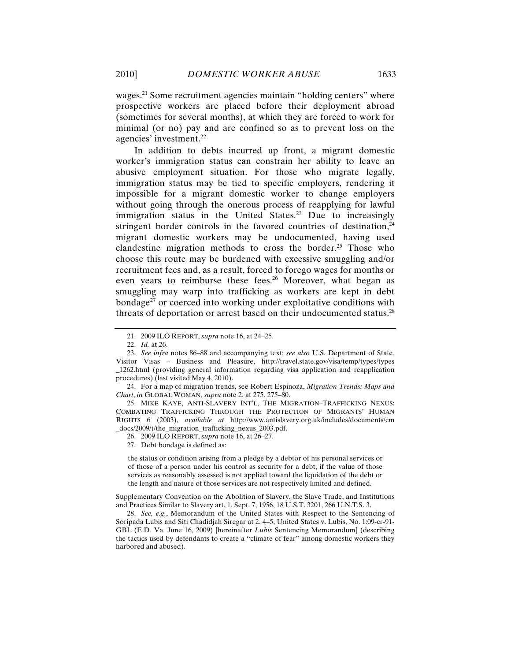wages.<sup>21</sup> Some recruitment agencies maintain "holding centers" where prospective workers are placed before their deployment abroad (sometimes for several months), at which they are forced to work for minimal (or no) pay and are confined so as to prevent loss on the agencies' investment.<sup>22</sup>

In addition to debts incurred up front, a migrant domestic worker's immigration status can constrain her ability to leave an abusive employment situation. For those who migrate legally, immigration status may be tied to specific employers, rendering it impossible for a migrant domestic worker to change employers without going through the onerous process of reapplying for lawful immigration status in the United States.<sup>23</sup> Due to increasingly stringent border controls in the favored countries of destination, $24$ migrant domestic workers may be undocumented, having used clandestine migration methods to cross the border.<sup>25</sup> Those who choose this route may be burdened with excessive smuggling and/or recruitment fees and, as a result, forced to forego wages for months or even years to reimburse these fees.<sup>26</sup> Moreover, what began as smuggling may warp into trafficking as workers are kept in debt bondage<sup>27</sup> or coerced into working under exploitative conditions with threats of deportation or arrest based on their undocumented status.<sup>28</sup>

25. MIKE KAYE, ANTI-SLAVERY INT'L, THE MIGRATION–TRAFFICKING NEXUS: COMBATING TRAFFICKING THROUGH THE PROTECTION OF MIGRANTS' HUMAN RIGHTS 6 (2003), *available at* http://www.antislavery.org.uk/includes/documents/cm \_docs/2009/t/the\_migration\_trafficking\_nexus\_2003.pdf.

26. 2009 ILO REPORT, *supra* note 16, at 26–27.

27. Debt bondage is defined as:

the status or condition arising from a pledge by a debtor of his personal services or of those of a person under his control as security for a debt, if the value of those services as reasonably assessed is not applied toward the liquidation of the debt or the length and nature of those services are not respectively limited and defined.

Supplementary Convention on the Abolition of Slavery, the Slave Trade, and Institutions and Practices Similar to Slavery art. 1, Sept. 7, 1956, 18 U.S.T. 3201, 266 U.N.T.S. 3.

28. *See, e.g.*, Memorandum of the United States with Respect to the Sentencing of Soripada Lubis and Siti Chadidjah Siregar at 2, 4–5, United States v. Lubis, No. 1:09-cr-91- GBL (E.D. Va. June 16, 2009) [hereinafter *Lubis* Sentencing Memorandum] (describing the tactics used by defendants to create a "climate of fear" among domestic workers they harbored and abused).

<sup>21.</sup> 2009 ILO REPORT, *supra* note 16, at 24–25.

<sup>22.</sup> *Id.* at 26.

<sup>23.</sup> *See infra* notes 86–88 and accompanying text; *see also* U.S. Department of State, Visitor Visas – Business and Pleasure, http://travel.state.gov/visa/temp/types/types \_1262.html (providing general information regarding visa application and reapplication procedures) (last visited May 4, 2010).

<sup>24.</sup> For a map of migration trends, see Robert Espinoza, *Migration Trends: Maps and Chart*, *in* GLOBAL WOMAN, *supra* note 2, at 275, 275–80.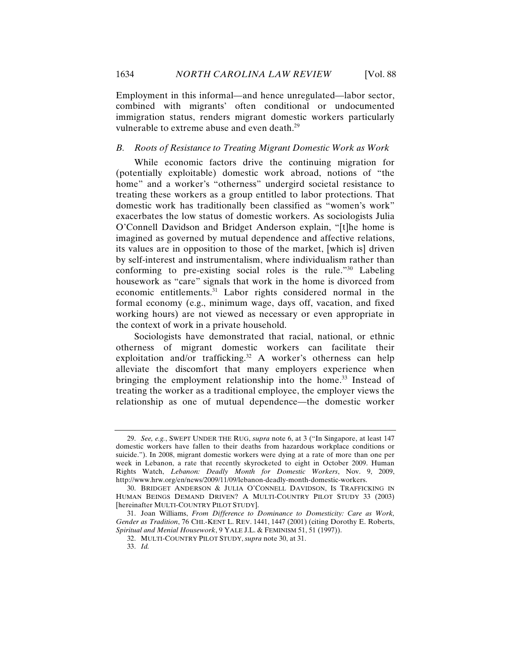Employment in this informal—and hence unregulated—labor sector, combined with migrants' often conditional or undocumented immigration status, renders migrant domestic workers particularly vulnerable to extreme abuse and even death.<sup>29</sup>

### *B. Roots of Resistance to Treating Migrant Domestic Work as Work*

While economic factors drive the continuing migration for (potentially exploitable) domestic work abroad, notions of "the home" and a worker's "otherness" undergird societal resistance to treating these workers as a group entitled to labor protections. That domestic work has traditionally been classified as "women's work" exacerbates the low status of domestic workers. As sociologists Julia O'Connell Davidson and Bridget Anderson explain, "[t]he home is imagined as governed by mutual dependence and affective relations, its values are in opposition to those of the market, [which is] driven by self-interest and instrumentalism, where individualism rather than conforming to pre-existing social roles is the rule."30 Labeling housework as "care" signals that work in the home is divorced from economic entitlements.31 Labor rights considered normal in the formal economy (e.g., minimum wage, days off, vacation, and fixed working hours) are not viewed as necessary or even appropriate in the context of work in a private household.

Sociologists have demonstrated that racial, national, or ethnic otherness of migrant domestic workers can facilitate their exploitation and/or trafficking.<sup>32</sup> A worker's otherness can help alleviate the discomfort that many employers experience when bringing the employment relationship into the home.<sup>33</sup> Instead of treating the worker as a traditional employee, the employer views the relationship as one of mutual dependence—the domestic worker

<sup>29.</sup> *See, e.g.*, SWEPT UNDER THE RUG, *supra* note 6, at 3 ("In Singapore, at least 147 domestic workers have fallen to their deaths from hazardous workplace conditions or suicide."). In 2008, migrant domestic workers were dying at a rate of more than one per week in Lebanon, a rate that recently skyrocketed to eight in October 2009. Human Rights Watch, *Lebanon: Deadly Month for Domestic Workers*, Nov. 9, 2009, http://www.hrw.org/en/news/2009/11/09/lebanon-deadly-month-domestic-workers.

<sup>30.</sup> BRIDGET ANDERSON & JULIA O'CONNELL DAVIDSON, IS TRAFFICKING IN HUMAN BEINGS DEMAND DRIVEN? A MULTI-COUNTRY PILOT STUDY 33 (2003) [hereinafter MULTI-COUNTRY PILOT STUDY].

<sup>31.</sup> Joan Williams, *From Difference to Dominance to Domesticity: Care as Work, Gender as Tradition*, 76 CHI.-KENT L. REV. 1441, 1447 (2001) (citing Dorothy E. Roberts, *Spiritual and Menial Housework*, 9 YALE J.L. & FEMINISM 51, 51 (1997)).

<sup>32.</sup> MULTI-COUNTRY PILOT STUDY, *supra* note 30, at 31.

<sup>33.</sup> *Id.*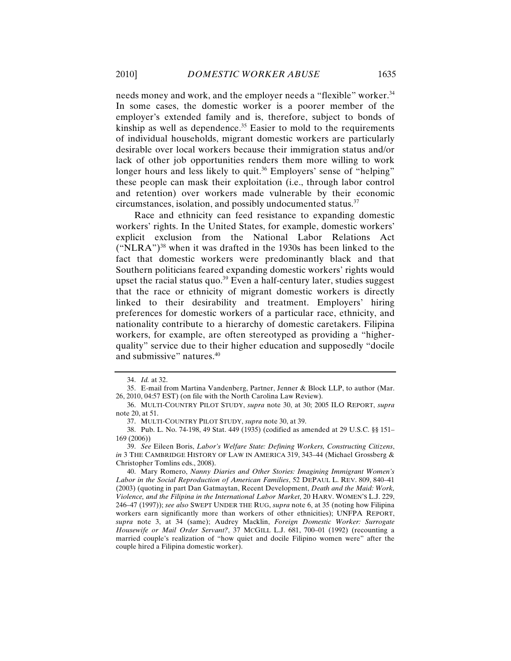needs money and work, and the employer needs a "flexible" worker.<sup>34</sup> In some cases, the domestic worker is a poorer member of the employer's extended family and is, therefore, subject to bonds of kinship as well as dependence.<sup>35</sup> Easier to mold to the requirements of individual households, migrant domestic workers are particularly desirable over local workers because their immigration status and/or lack of other job opportunities renders them more willing to work longer hours and less likely to quit.<sup>36</sup> Employers' sense of "helping" these people can mask their exploitation (i.e., through labor control and retention) over workers made vulnerable by their economic circumstances, isolation, and possibly undocumented status.<sup>37</sup>

Race and ethnicity can feed resistance to expanding domestic workers' rights. In the United States, for example, domestic workers' explicit exclusion from the National Labor Relations Act  $("NLRA")<sup>38</sup>$  when it was drafted in the 1930s has been linked to the fact that domestic workers were predominantly black and that Southern politicians feared expanding domestic workers' rights would upset the racial status quo. $39$  Even a half-century later, studies suggest that the race or ethnicity of migrant domestic workers is directly linked to their desirability and treatment. Employers' hiring preferences for domestic workers of a particular race, ethnicity, and nationality contribute to a hierarchy of domestic caretakers. Filipina workers, for example, are often stereotyped as providing a "higherquality" service due to their higher education and supposedly "docile and submissive" natures.40

<sup>34.</sup> *Id.* at 32.

<sup>35.</sup> E-mail from Martina Vandenberg, Partner, Jenner & Block LLP, to author (Mar. 26, 2010, 04:57 EST) (on file with the North Carolina Law Review).

<sup>36.</sup> MULTI-COUNTRY PILOT STUDY, *supra* note 30, at 30; 2005 ILO REPORT, *supra*  note 20, at 51.

<sup>37.</sup> MULTI-COUNTRY PILOT STUDY, *supra* note 30, at 39.

<sup>38.</sup> Pub. L. No. 74-198, 49 Stat. 449 (1935) (codified as amended at 29 U.S.C. §§ 151– 169 (2006))

<sup>39.</sup> *See* Eileen Boris, *Labor's Welfare State: Defining Workers, Constructing Citizens*, *in* 3 THE CAMBRIDGE HISTORY OF LAW IN AMERICA 319, 343–44 (Michael Grossberg & Christopher Tomlins eds., 2008).

<sup>40.</sup> Mary Romero, *Nanny Diaries and Other Stories: Imagining Immigrant Women's Labor in the Social Reproduction of American Families*, 52 DEPAUL L. REV. 809, 840–41 (2003) (quoting in part Dan Gatmaytan, Recent Development, *Death and the Maid: Work, Violence, and the Filipina in the International Labor Market*, 20 HARV. WOMEN'S L.J. 229, 246–47 (1997)); *see also* SWEPT UNDER THE RUG, *supra* note 6, at 35 (noting how Filipina workers earn significantly more than workers of other ethnicities); UNFPA REPORT, *supra* note 3, at 34 (same); Audrey Macklin, *Foreign Domestic Worker: Surrogate Housewife or Mail Order Servant?*, 37 MCGILL L.J. 681, 700–01 (1992) (recounting a married couple's realization of "how quiet and docile Filipino women were" after the couple hired a Filipina domestic worker).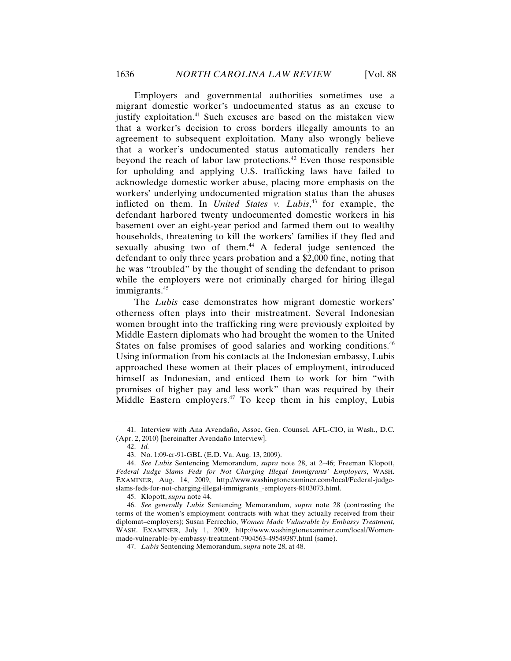Employers and governmental authorities sometimes use a migrant domestic worker's undocumented status as an excuse to justify exploitation.<sup>41</sup> Such excuses are based on the mistaken view that a worker's decision to cross borders illegally amounts to an agreement to subsequent exploitation. Many also wrongly believe that a worker's undocumented status automatically renders her beyond the reach of labor law protections.<sup>42</sup> Even those responsible for upholding and applying U.S. trafficking laws have failed to acknowledge domestic worker abuse, placing more emphasis on the workers' underlying undocumented migration status than the abuses inflicted on them. In *United States v. Lubis*, 43 for example, the defendant harbored twenty undocumented domestic workers in his basement over an eight-year period and farmed them out to wealthy households, threatening to kill the workers' families if they fled and sexually abusing two of them.<sup>44</sup> A federal judge sentenced the defendant to only three years probation and a \$2,000 fine, noting that he was "troubled" by the thought of sending the defendant to prison while the employers were not criminally charged for hiring illegal immigrants.<sup>45</sup>

The *Lubis* case demonstrates how migrant domestic workers' otherness often plays into their mistreatment. Several Indonesian women brought into the trafficking ring were previously exploited by Middle Eastern diplomats who had brought the women to the United States on false promises of good salaries and working conditions.<sup>46</sup> Using information from his contacts at the Indonesian embassy, Lubis approached these women at their places of employment, introduced himself as Indonesian, and enticed them to work for him "with promises of higher pay and less work" than was required by their Middle Eastern employers. $47$  To keep them in his employ, Lubis

42. *Id.*

45. Klopott, *supra* note 44.

46. *See generally Lubis* Sentencing Memorandum, *supra* note 28 (contrasting the terms of the women's employment contracts with what they actually received from their diplomat–employers); Susan Ferrechio, *Women Made Vulnerable by Embassy Treatment*, WASH. EXAMINER, July 1, 2009, http://www.washingtonexaminer.com/local/Womenmade-vulnerable-by-embassy-treatment-7904563-49549387.html (same).

<sup>41.</sup> Interview with Ana Avendaño, Assoc. Gen. Counsel, AFL-CIO, in Wash., D.C. (Apr. 2, 2010) [hereinafter Avendaño Interview].

<sup>43.</sup> No. 1:09-cr-91-GBL (E.D. Va. Aug. 13, 2009).

<sup>44.</sup> *See Lubis* Sentencing Memorandum, *supra* note 28, at 2–46; Freeman Klopott, *Federal Judge Slams Feds for Not Charging Illegal Immigrants' Employers*, WASH. EXAMINER, Aug. 14, 2009, http://www.washingtonexaminer.com/local/Federal-judgeslams-feds-for-not-charging-illegal-immigrants\_-employers-8103073.html.

<sup>47.</sup> *Lubis* Sentencing Memorandum, *supra* note 28, at 48.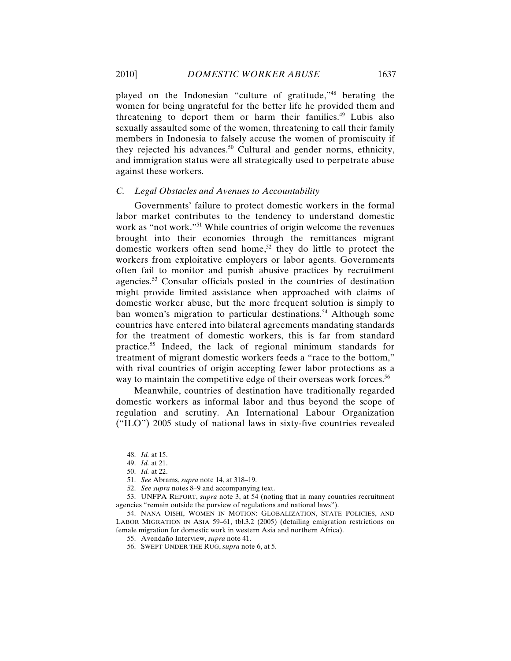played on the Indonesian "culture of gratitude,"48 berating the women for being ungrateful for the better life he provided them and threatening to deport them or harm their families.<sup>49</sup> Lubis also sexually assaulted some of the women, threatening to call their family members in Indonesia to falsely accuse the women of promiscuity if they rejected his advances.<sup>50</sup> Cultural and gender norms, ethnicity, and immigration status were all strategically used to perpetrate abuse against these workers.

#### *C. Legal Obstacles and Avenues to Accountability*

Governments' failure to protect domestic workers in the formal labor market contributes to the tendency to understand domestic work as "not work."<sup>51</sup> While countries of origin welcome the revenues brought into their economies through the remittances migrant domestic workers often send home,<sup>52</sup> they do little to protect the workers from exploitative employers or labor agents. Governments often fail to monitor and punish abusive practices by recruitment agencies.53 Consular officials posted in the countries of destination might provide limited assistance when approached with claims of domestic worker abuse, but the more frequent solution is simply to ban women's migration to particular destinations. <sup>54</sup> Although some countries have entered into bilateral agreements mandating standards for the treatment of domestic workers, this is far from standard practice.55 Indeed, the lack of regional minimum standards for treatment of migrant domestic workers feeds a "race to the bottom," with rival countries of origin accepting fewer labor protections as a way to maintain the competitive edge of their overseas work forces.<sup>56</sup>

Meanwhile, countries of destination have traditionally regarded domestic workers as informal labor and thus beyond the scope of regulation and scrutiny. An International Labour Organization ("ILO") 2005 study of national laws in sixty-five countries revealed

<sup>48.</sup> *Id.* at 15.

<sup>49.</sup> *Id.* at 21.

<sup>50.</sup> *Id.* at 22.

<sup>51.</sup> *See* Abrams, *supra* note 14, at 318–19.

<sup>52.</sup> *See supra* notes 8–9 and accompanying text.

<sup>53.</sup> UNFPA REPORT, *supra* note 3, at 54 (noting that in many countries recruitment agencies "remain outside the purview of regulations and national laws").

<sup>54.</sup> NANA OISHI, WOMEN IN MOTION: GLOBALIZATION, STATE POLICIES, AND LABOR MIGRATION IN ASIA 59–61, tbl.3.2 (2005) (detailing emigration restrictions on female migration for domestic work in western Asia and northern Africa).

<sup>55.</sup> Avendaño Interview, *supra* note 41.

<sup>56.</sup> SWEPT UNDER THE RUG, *supra* note 6, at 5.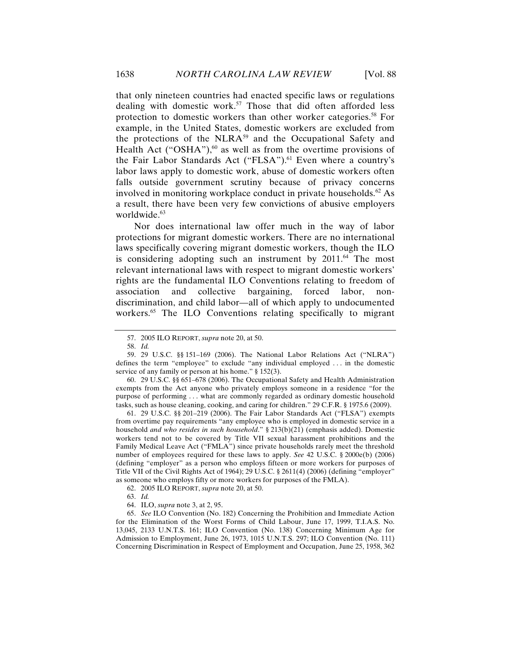that only nineteen countries had enacted specific laws or regulations dealing with domestic work. 57 Those that did often afforded less protection to domestic workers than other worker categories.58 For example, in the United States, domestic workers are excluded from the protections of the NLRA<sup>59</sup> and the Occupational Safety and Health Act ("OSHA"), $60$  as well as from the overtime provisions of the Fair Labor Standards Act ("FLSA").<sup>61</sup> Even where a country's labor laws apply to domestic work, abuse of domestic workers often falls outside government scrutiny because of privacy concerns involved in monitoring workplace conduct in private households.<sup>62</sup> As a result, there have been very few convictions of abusive employers worldwide.<sup>63</sup>

Nor does international law offer much in the way of labor protections for migrant domestic workers. There are no international laws specifically covering migrant domestic workers, though the ILO is considering adopting such an instrument by  $2011.^{64}$  The most relevant international laws with respect to migrant domestic workers' rights are the fundamental ILO Conventions relating to freedom of association and collective bargaining, forced labor, nondiscrimination, and child labor—all of which apply to undocumented workers.<sup>65</sup> The ILO Conventions relating specifically to migrant

60. 29 U.S.C. §§ 651–678 (2006). The Occupational Safety and Health Administration exempts from the Act anyone who privately employs someone in a residence "for the purpose of performing . . . what are commonly regarded as ordinary domestic household tasks, such as house cleaning, cooking, and caring for children." 29 C.F.R. § 1975.6 (2009).

61. 29 U.S.C. §§ 201–219 (2006). The Fair Labor Standards Act ("FLSA") exempts from overtime pay requirements "any employee who is employed in domestic service in a household *and who resides in such household*." § 213(b)(21) (emphasis added). Domestic workers tend not to be covered by Title VII sexual harassment prohibitions and the Family Medical Leave Act ("FMLA") since private households rarely meet the threshold number of employees required for these laws to apply. *See* 42 U.S.C. § 2000e(b) (2006) (defining "employer" as a person who employs fifteen or more workers for purposes of Title VII of the Civil Rights Act of 1964); 29 U.S.C. § 2611(4) (2006) (defining "employer" as someone who employs fifty or more workers for purposes of the FMLA).

62. 2005 ILO REPORT, *supra* note 20, at 50.

64. ILO, *supra* note 3, at 2, 95.

65. *See* ILO Convention (No. 182) Concerning the Prohibition and Immediate Action for the Elimination of the Worst Forms of Child Labour, June 17, 1999, T.I.A.S. No. 13,045, 2133 U.N.T.S. 161; ILO Convention (No. 138) Concerning Minimum Age for Admission to Employment, June 26, 1973, 1015 U.N.T.S. 297; ILO Convention (No. 111) Concerning Discrimination in Respect of Employment and Occupation, June 25, 1958, 362

<sup>57.</sup> 2005 ILO REPORT, *supra* note 20, at 50.

<sup>58.</sup> *Id.*

<sup>59.</sup> 29 U.S.C. §§ 151–169 (2006). The National Labor Relations Act ("NLRA") defines the term "employee" to exclude "any individual employed . . . in the domestic service of any family or person at his home." § 152(3).

<sup>63.</sup> *Id.*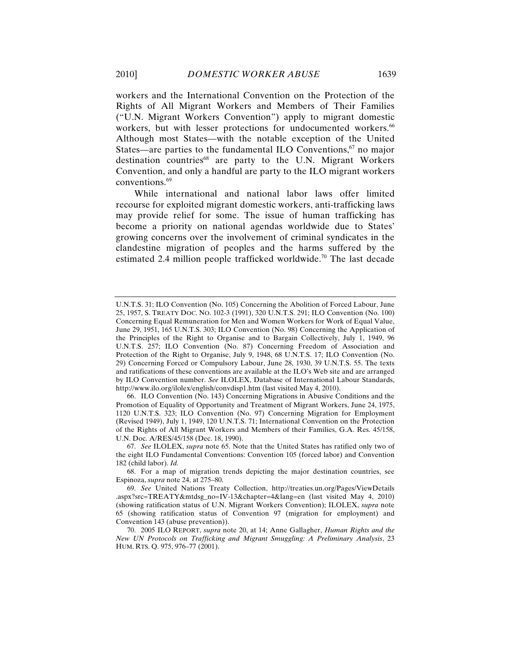workers and the International Convention on the Protection of the Rights of All Migrant Workers and Members of Their Families ("U.N. Migrant Workers Convention") apply to migrant domestic workers, but with lesser protections for undocumented workers.<sup>66</sup> Although most States—with the notable exception of the United States—are parties to the fundamental ILO Conventions, $67$  no major destination countries $^{68}$  are party to the U.N. Migrant Workers Convention, and only a handful are party to the ILO migrant workers conventions.69

While international and national labor laws offer limited recourse for exploited migrant domestic workers, anti-trafficking laws may provide relief for some. The issue of human trafficking has become a priority on national agendas worldwide due to States' growing concerns over the involvement of criminal syndicates in the clandestine migration of peoples and the harms suffered by the estimated 2.4 million people trafficked worldwide.<sup>70</sup> The last decade

U.N.T.S. 31; ILO Convention (No. 105) Concerning the Abolition of Forced Labour, June 25, 1957, S. TREATY DOC. NO. 102-3 (1991), 320 U.N.T.S. 291; ILO Convention (No. 100) Concerning Equal Remuneration for Men and Women Workers for Work of Equal Value, June 29, 1951, 165 U.N.T.S. 303; ILO Convention (No. 98) Concerning the Application of the Principles of the Right to Organise and to Bargain Collectively, July 1, 1949, 96 U.N.T.S. 257; ILO Convention (No. 87) Concerning Freedom of Association and Protection of the Right to Organise, July 9, 1948, 68 U.N.T.S. 17; ILO Convention (No. 29) Concerning Forced or Compulsory Labour, June 28, 1930, 39 U.N.T.S. 55. The texts and ratifications of these conventions are available at the ILO's Web site and are arranged by ILO Convention number. *See* ILOLEX, Database of International Labour Standards, http://www.ilo.org/ilolex/english/convdisp1.htm (last visited May 4, 2010).

<sup>66.</sup> ILO Convention (No. 143) Concerning Migrations in Abusive Conditions and the Promotion of Equality of Opportunity and Treatment of Migrant Workers, June 24, 1975, 1120 U.N.T.S. 323; ILO Convention (No. 97) Concerning Migration for Employment (Revised 1949), July 1, 1949, 120 U.N.T.S. 71; International Convention on the Protection of the Rights of All Migrant Workers and Members of their Families, G.A. Res. 45/158, U.N. Doc. A/RES/45/158 (Dec. 18, 1990).

<sup>67.</sup> *See* ILOLEX, *supra* note 65. Note that the United States has ratified only two of the eight ILO Fundamental Conventions: Convention 105 (forced labor) and Convention 182 (child labor). *Id.*

<sup>68.</sup> For a map of migration trends depicting the major destination countries, see Espinoza, *supra* note 24, at 275–80.

<sup>69.</sup> *See* United Nations Treaty Collection, http://treaties.un.org/Pages/ViewDetails .aspx?src=TREATY&mtdsg\_no=IV-13&chapter=4&lang=en (last visited May 4, 2010) (showing ratification status of U.N. Migrant Workers Convention); ILOLEX, *supra* note 65 (showing ratification status of Convention 97 (migration for employment) and Convention 143 (abuse prevention)).

<sup>70.</sup> 2005 ILO REPORT, *supra* note 20, at 14; Anne Gallagher, *Human Rights and the New UN Protocols on Trafficking and Migrant Smuggling: A Preliminary Analysis*, 23 HUM. RTS. Q. 975, 976–77 (2001).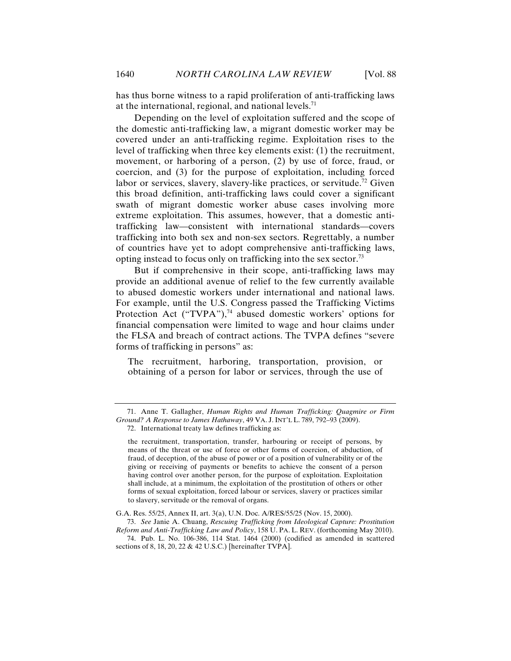has thus borne witness to a rapid proliferation of anti-trafficking laws at the international, regional, and national levels.<sup>71</sup>

Depending on the level of exploitation suffered and the scope of the domestic anti-trafficking law, a migrant domestic worker may be covered under an anti-trafficking regime. Exploitation rises to the level of trafficking when three key elements exist: (1) the recruitment, movement, or harboring of a person, (2) by use of force, fraud, or coercion, and (3) for the purpose of exploitation, including forced labor or services, slavery, slavery-like practices, or servitude.<sup>72</sup> Given this broad definition, anti-trafficking laws could cover a significant swath of migrant domestic worker abuse cases involving more extreme exploitation. This assumes, however, that a domestic antitrafficking law—consistent with international standards—covers trafficking into both sex and non-sex sectors. Regrettably, a number of countries have yet to adopt comprehensive anti-trafficking laws, opting instead to focus only on trafficking into the sex sector.73

But if comprehensive in their scope, anti-trafficking laws may provide an additional avenue of relief to the few currently available to abused domestic workers under international and national laws. For example, until the U.S. Congress passed the Trafficking Victims Protection Act ("TVPA"), $74$  abused domestic workers' options for financial compensation were limited to wage and hour claims under the FLSA and breach of contract actions. The TVPA defines "severe forms of trafficking in persons" as:

The recruitment, harboring, transportation, provision, or obtaining of a person for labor or services, through the use of

the recruitment, transportation, transfer, harbouring or receipt of persons, by means of the threat or use of force or other forms of coercion, of abduction, of fraud, of deception, of the abuse of power or of a position of vulnerability or of the giving or receiving of payments or benefits to achieve the consent of a person having control over another person, for the purpose of exploitation. Exploitation shall include, at a minimum, the exploitation of the prostitution of others or other forms of sexual exploitation, forced labour or services, slavery or practices similar to slavery, servitude or the removal of organs.

G.A. Res. 55/25, Annex II, art. 3(a), U.N. Doc. A/RES/55/25 (Nov. 15, 2000).

73. *See* Janie A. Chuang, *Rescuing Trafficking from Ideological Capture: Prostitution Reform and Anti-Trafficking Law and Policy*, 158 U. PA. L. REV. (forthcoming May 2010).

74. Pub. L. No. 106-386, 114 Stat. 1464 (2000) (codified as amended in scattered sections of 8, 18, 20, 22 & 42 U.S.C.) [hereinafter TVPA].

<sup>71.</sup> Anne T. Gallagher, *Human Rights and Human Trafficking: Quagmire or Firm Ground? A Response to James Hathaway*, 49 VA. J. INT'L L. 789, 792–93 (2009).

<sup>72.</sup> International treaty law defines trafficking as: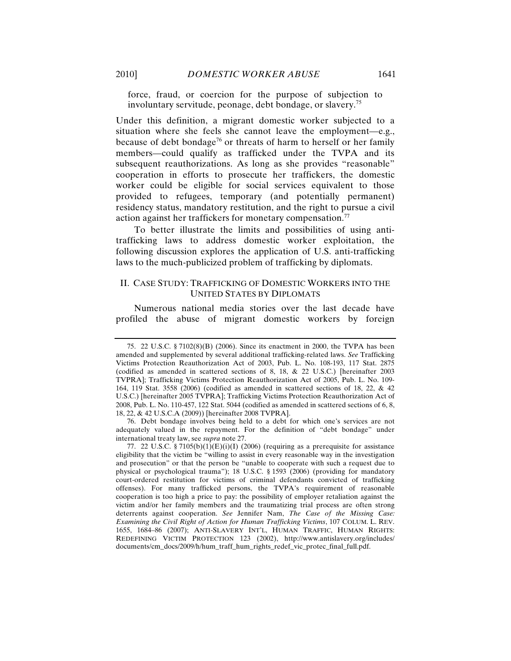force, fraud, or coercion for the purpose of subjection to involuntary servitude, peonage, debt bondage, or slavery.75

Under this definition, a migrant domestic worker subjected to a situation where she feels she cannot leave the employment—e.g., because of debt bondage<sup>76</sup> or threats of harm to herself or her family members—could qualify as trafficked under the TVPA and its subsequent reauthorizations. As long as she provides "reasonable" cooperation in efforts to prosecute her traffickers, the domestic worker could be eligible for social services equivalent to those provided to refugees, temporary (and potentially permanent) residency status, mandatory restitution, and the right to pursue a civil action against her traffickers for monetary compensation.<sup>77</sup>

To better illustrate the limits and possibilities of using antitrafficking laws to address domestic worker exploitation, the following discussion explores the application of U.S. anti-trafficking laws to the much-publicized problem of trafficking by diplomats.

### II. CASE STUDY: TRAFFICKING OF DOMESTIC WORKERS INTO THE UNITED STATES BY DIPLOMATS

Numerous national media stories over the last decade have profiled the abuse of migrant domestic workers by foreign

76. Debt bondage involves being held to a debt for which one's services are not adequately valued in the repayment. For the definition of "debt bondage" under international treaty law, see *supra* note 27.

<sup>75.</sup> 22 U.S.C. § 7102(8)(B) (2006). Since its enactment in 2000, the TVPA has been amended and supplemented by several additional trafficking-related laws. *See* Trafficking Victims Protection Reauthorization Act of 2003, Pub. L. No. 108-193, 117 Stat. 2875 (codified as amended in scattered sections of 8, 18, & 22 U.S.C.) [hereinafter 2003 TVPRA]; Trafficking Victims Protection Reauthorization Act of 2005, Pub. L. No. 109- 164, 119 Stat. 3558 (2006) (codified as amended in scattered sections of 18, 22, & 42 U.S.C.) [hereinafter 2005 TVPRA]; Trafficking Victims Protection Reauthorization Act of 2008, Pub. L. No. 110-457, 122 Stat. 5044 (codified as amended in scattered sections of 6, 8, 18, 22, & 42 U.S.C.A (2009)) [hereinafter 2008 TVPRA].

<sup>77. 22</sup> U.S.C. § 7105(b)(1)(E)(i)(I) (2006) (requiring as a prerequisite for assistance eligibility that the victim be "willing to assist in every reasonable way in the investigation and prosecution" or that the person be "unable to cooperate with such a request due to physical or psychological trauma"); 18 U.S.C. § 1593 (2006) (providing for mandatory court-ordered restitution for victims of criminal defendants convicted of trafficking offenses). For many trafficked persons, the TVPA's requirement of reasonable cooperation is too high a price to pay: the possibility of employer retaliation against the victim and/or her family members and the traumatizing trial process are often strong deterrents against cooperation. *See* Jennifer Nam, *The Case of the Missing Case: Examining the Civil Right of Action for Human Trafficking Victims*, 107 COLUM. L. REV. 1655, 1684–86 (2007); ANTI-SLAVERY INT'L, HUMAN TRAFFIC, HUMAN RIGHTS: REDEFINING VICTIM PROTECTION 123 (2002), http://www.antislavery.org/includes/ documents/cm\_docs/2009/h/hum\_traff\_hum\_rights\_redef\_vic\_protec\_final\_full.pdf.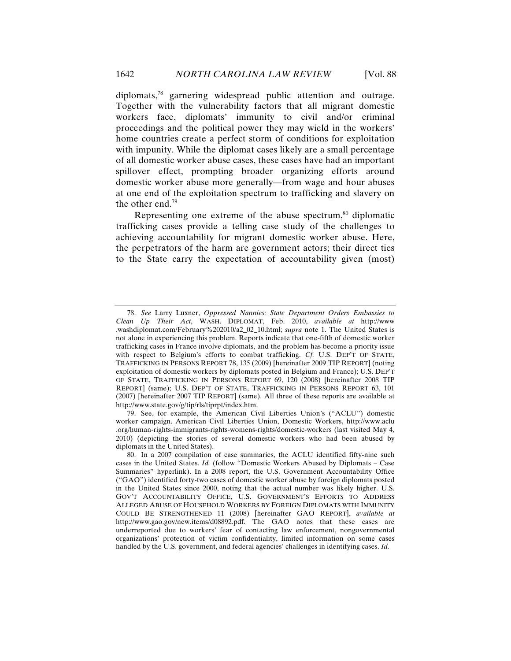diplomats,78 garnering widespread public attention and outrage. Together with the vulnerability factors that all migrant domestic workers face, diplomats' immunity to civil and/or criminal proceedings and the political power they may wield in the workers' home countries create a perfect storm of conditions for exploitation with impunity. While the diplomat cases likely are a small percentage of all domestic worker abuse cases, these cases have had an important spillover effect, prompting broader organizing efforts around domestic worker abuse more generally—from wage and hour abuses at one end of the exploitation spectrum to trafficking and slavery on the other end. $79$ 

Representing one extreme of the abuse spectrum, $\frac{80}{30}$  diplomatic trafficking cases provide a telling case study of the challenges to achieving accountability for migrant domestic worker abuse. Here, the perpetrators of the harm are government actors; their direct ties to the State carry the expectation of accountability given (most)

<sup>78.</sup> *See* Larry Luxner, *Oppressed Nannies: State Department Orders Embassies to Clean Up Their Act*, WASH. DIPLOMAT, Feb. 2010, *available at* http://www .washdiplomat.com/February%202010/a2\_02\_10.html; *supra* note 1. The United States is not alone in experiencing this problem. Reports indicate that one-fifth of domestic worker trafficking cases in France involve diplomats, and the problem has become a priority issue with respect to Belgium's efforts to combat trafficking. *Cf.* U.S. DEP'T OF STATE, TRAFFICKING IN PERSONS REPORT 78, 135 (2009) [hereinafter 2009 TIP REPORT] (noting exploitation of domestic workers by diplomats posted in Belgium and France); U.S. DEP'T OF STATE, TRAFFICKING IN PERSONS REPORT 69, 120 (2008) [hereinafter 2008 TIP REPORT] (same); U.S. DEP'T OF STATE, TRAFFICKING IN PERSONS REPORT 63, 101 (2007) [hereinafter 2007 TIP REPORT] (same). All three of these reports are available at http://www.state.gov/g/tip/rls/tiprpt/index.htm.

<sup>79.</sup> See, for example, the American Civil Liberties Union's ("ACLU") domestic worker campaign. American Civil Liberties Union, Domestic Workers, http://www.aclu .org/human-rights-immigrants-rights-womens-rights/domestic-workers (last visited May 4, 2010) (depicting the stories of several domestic workers who had been abused by diplomats in the United States).

<sup>80.</sup> In a 2007 compilation of case summaries, the ACLU identified fifty-nine such cases in the United States. *Id.* (follow "Domestic Workers Abused by Diplomats – Case Summaries" hyperlink). In a 2008 report, the U.S. Government Accountability Office ("GAO") identified forty-two cases of domestic worker abuse by foreign diplomats posted in the United States since 2000, noting that the actual number was likely higher. U.S. GOV'T ACCOUNTABILITY OFFICE, U.S. GOVERNMENT'S EFFORTS TO ADDRESS ALLEGED ABUSE OF HOUSEHOLD WORKERS BY FOREIGN DIPLOMATS WITH IMMUNITY COULD BE STRENGTHENED 11 (2008) [hereinafter GAO REPORT], *available at*  http://www.gao.gov/new.items/d08892.pdf. The GAO notes that these cases are underreported due to workers' fear of contacting law enforcement, nongovernmental organizations' protection of victim confidentiality, limited information on some cases handled by the U.S. government, and federal agencies' challenges in identifying cases. *Id.*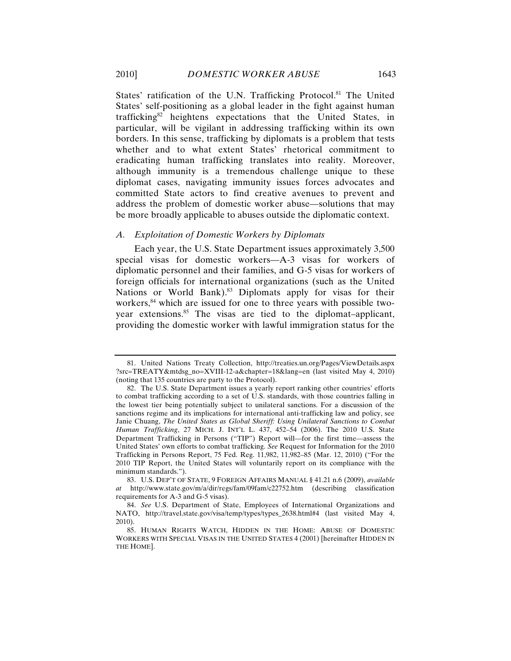States' ratification of the U.N. Trafficking Protocol.<sup>81</sup> The United States' self-positioning as a global leader in the fight against human trafficking $82$  heightens expectations that the United States, in particular, will be vigilant in addressing trafficking within its own borders. In this sense, trafficking by diplomats is a problem that tests whether and to what extent States' rhetorical commitment to eradicating human trafficking translates into reality. Moreover, although immunity is a tremendous challenge unique to these diplomat cases, navigating immunity issues forces advocates and committed State actors to find creative avenues to prevent and address the problem of domestic worker abuse—solutions that may be more broadly applicable to abuses outside the diplomatic context.

### *A. Exploitation of Domestic Workers by Diplomats*

Each year, the U.S. State Department issues approximately 3,500 special visas for domestic workers—A-3 visas for workers of diplomatic personnel and their families, and G-5 visas for workers of foreign officials for international organizations (such as the United Nations or World Bank).<sup>83</sup> Diplomats apply for visas for their workers,<sup>84</sup> which are issued for one to three years with possible twoyear extensions.<sup>85</sup> The visas are tied to the diplomat–applicant, providing the domestic worker with lawful immigration status for the

<sup>81.</sup> United Nations Treaty Collection, http://treaties.un.org/Pages/ViewDetails.aspx ?src=TREATY&mtdsg\_no=XVIII-12-a&chapter=18&lang=en (last visited May 4, 2010) (noting that 135 countries are party to the Protocol).

<sup>82.</sup> The U.S. State Department issues a yearly report ranking other countries' efforts to combat trafficking according to a set of U.S. standards, with those countries falling in the lowest tier being potentially subject to unilateral sanctions. For a discussion of the sanctions regime and its implications for international anti-trafficking law and policy, see Janie Chuang, *The United States as Global Sheriff: Using Unilateral Sanctions to Combat Human Trafficking*, 27 MICH. J. INT'L L. 437, 452–54 (2006). The 2010 U.S. State Department Trafficking in Persons ("TIP") Report will—for the first time—assess the United States' own efforts to combat trafficking. *See* Request for Information for the 2010 Trafficking in Persons Report, 75 Fed. Reg. 11,982, 11,982–85 (Mar. 12, 2010) ("For the 2010 TIP Report, the United States will voluntarily report on its compliance with the minimum standards.").

<sup>83.</sup> U.S. DEP'T OF STATE, 9 FOREIGN AFFAIRS MANUAL § 41.21 n.6 (2009), *available at* http://www.state.gov/m/a/dir/regs/fam/09fam/c22752.htm (describing classification requirements for A-3 and G-5 visas).

<sup>84.</sup> *See* U.S. Department of State, Employees of International Organizations and NATO, http://travel.state.gov/visa/temp/types/types\_2638.html#4 (last visited May 4, 2010).

<sup>85.</sup> HUMAN RIGHTS WATCH, HIDDEN IN THE HOME: ABUSE OF DOMESTIC WORKERS WITH SPECIAL VISAS IN THE UNITED STATES 4 (2001) [hereinafter HIDDEN IN THE HOME].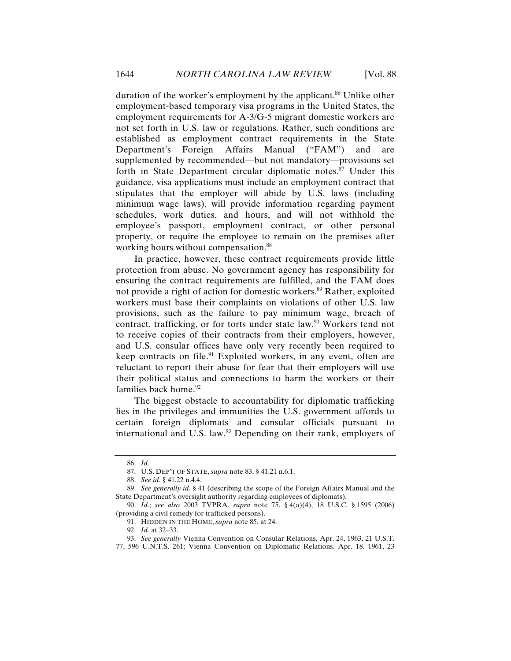duration of the worker's employment by the applicant.<sup>86</sup> Unlike other employment-based temporary visa programs in the United States, the employment requirements for A-3/G-5 migrant domestic workers are not set forth in U.S. law or regulations. Rather, such conditions are established as employment contract requirements in the State Department's Foreign Affairs Manual ("FAM") and are supplemented by recommended—but not mandatory—provisions set forth in State Department circular diplomatic notes.<sup>87</sup> Under this guidance, visa applications must include an employment contract that stipulates that the employer will abide by U.S. laws (including minimum wage laws), will provide information regarding payment schedules, work duties, and hours, and will not withhold the employee's passport, employment contract, or other personal property, or require the employee to remain on the premises after working hours without compensation.<sup>88</sup>

In practice, however, these contract requirements provide little protection from abuse. No government agency has responsibility for ensuring the contract requirements are fulfilled, and the FAM does not provide a right of action for domestic workers.<sup>89</sup> Rather, exploited workers must base their complaints on violations of other U.S. law provisions, such as the failure to pay minimum wage, breach of contract, trafficking, or for torts under state law.<sup>90</sup> Workers tend not to receive copies of their contracts from their employers, however, and U.S. consular offices have only very recently been required to keep contracts on file.<sup>91</sup> Exploited workers, in any event, often are reluctant to report their abuse for fear that their employers will use their political status and connections to harm the workers or their families back home.<sup>92</sup>

The biggest obstacle to accountability for diplomatic trafficking lies in the privileges and immunities the U.S. government affords to certain foreign diplomats and consular officials pursuant to international and U.S. law.<sup>93</sup> Depending on their rank, employers of

<sup>86.</sup> *Id.*

<sup>87.</sup> U.S. DEP'T OF STATE, *supra* note 83, § 41.21 n.6.1.

<sup>88.</sup> *See id.* § 41.22 n.4.4.

<sup>89.</sup> *See generally id.* § 41 (describing the scope of the Foreign Affairs Manual and the State Department's oversight authority regarding employees of diplomats).

<sup>90.</sup> *Id.*; *see also* 2003 TVPRA, *supra* note 75, § 4(a)(4), 18 U.S.C. § 1595 (2006) (providing a civil remedy for trafficked persons).

<sup>91.</sup> HIDDEN IN THE HOME, *supra* note 85, at 24.

<sup>92.</sup> *Id.* at 32–33.

<sup>93.</sup> *See generally* Vienna Convention on Consular Relations, Apr. 24, 1963, 21 U.S.T. 77, 596 U.N.T.S. 261; Vienna Convention on Diplomatic Relations, Apr. 18, 1961, 23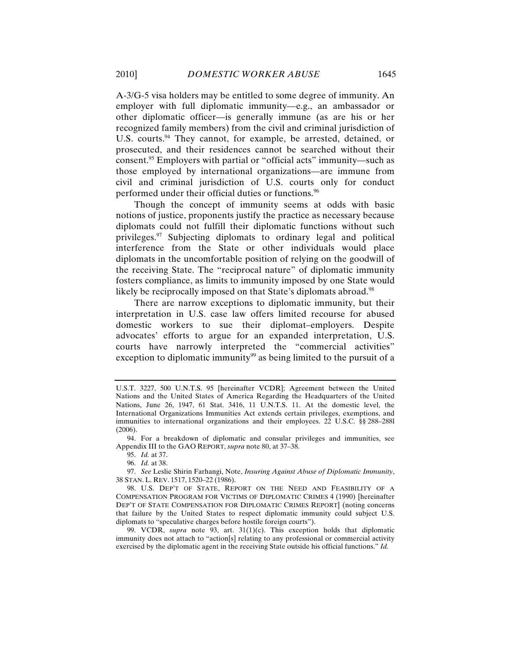A-3/G-5 visa holders may be entitled to some degree of immunity. An employer with full diplomatic immunity—e.g., an ambassador or other diplomatic officer—is generally immune (as are his or her recognized family members) from the civil and criminal jurisdiction of U.S. courts.<sup>94</sup> They cannot, for example, be arrested, detained, or prosecuted, and their residences cannot be searched without their consent.95 Employers with partial or "official acts" immunity—such as those employed by international organizations—are immune from civil and criminal jurisdiction of U.S. courts only for conduct performed under their official duties or functions.96

Though the concept of immunity seems at odds with basic notions of justice, proponents justify the practice as necessary because diplomats could not fulfill their diplomatic functions without such privileges.97 Subjecting diplomats to ordinary legal and political interference from the State or other individuals would place diplomats in the uncomfortable position of relying on the goodwill of the receiving State. The "reciprocal nature" of diplomatic immunity fosters compliance, as limits to immunity imposed by one State would likely be reciprocally imposed on that State's diplomats abroad.<sup>98</sup>

There are narrow exceptions to diplomatic immunity, but their interpretation in U.S. case law offers limited recourse for abused domestic workers to sue their diplomat–employers. Despite advocates' efforts to argue for an expanded interpretation, U.S. courts have narrowly interpreted the "commercial activities" exception to diplomatic immunity<sup>99</sup> as being limited to the pursuit of a

94. For a breakdown of diplomatic and consular privileges and immunities, see Appendix III to the GAO REPORT, *supra* note 80, at 37–38.

95. *Id.* at 37.

96. *Id.* at 38.

97. *See* Leslie Shirin Farhangi, Note, *Insuring Against Abuse of Diplomatic Immunity*, 38 STAN. L. REV. 1517, 1520–22 (1986).

98. U.S. DEP'T OF STATE, REPORT ON THE NEED AND FEASIBILITY OF A COMPENSATION PROGRAM FOR VICTIMS OF DIPLOMATIC CRIMES 4 (1990) [hereinafter DEP'T OF STATE COMPENSATION FOR DIPLOMATIC CRIMES REPORT] (noting concerns that failure by the United States to respect diplomatic immunity could subject U.S. diplomats to "speculative charges before hostile foreign courts").

99. VCDR, *supra* note 93, art. 31(1)(c). This exception holds that diplomatic immunity does not attach to "action[s] relating to any professional or commercial activity exercised by the diplomatic agent in the receiving State outside his official functions." *Id.*

U.S.T. 3227, 500 U.N.T.S. 95 [hereinafter VCDR]; Agreement between the United Nations and the United States of America Regarding the Headquarters of the United Nations, June 26, 1947, 61 Stat. 3416, 11 U.N.T.S. 11. At the domestic level, the International Organizations Immunities Act extends certain privileges, exemptions, and immunities to international organizations and their employees. 22 U.S.C. §§ 288–288l (2006).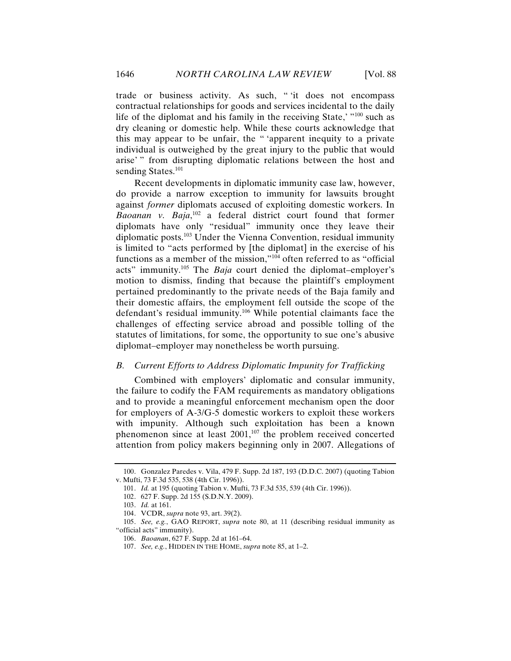trade or business activity. As such, " 'it does not encompass contractual relationships for goods and services incidental to the daily life of the diplomat and his family in the receiving State,' $\frac{100}{100}$  such as dry cleaning or domestic help. While these courts acknowledge that this may appear to be unfair, the " 'apparent inequity to a private individual is outweighed by the great injury to the public that would arise' " from disrupting diplomatic relations between the host and sending States.<sup>101</sup>

Recent developments in diplomatic immunity case law, however, do provide a narrow exception to immunity for lawsuits brought against *former* diplomats accused of exploiting domestic workers. In *Baoanan v. Baja*, 102 a federal district court found that former diplomats have only "residual" immunity once they leave their diplomatic posts.103 Under the Vienna Convention, residual immunity is limited to "acts performed by [the diplomat] in the exercise of his functions as a member of the mission,"104 often referred to as "official acts" immunity.105 The *Baja* court denied the diplomat–employer's motion to dismiss, finding that because the plaintiff's employment pertained predominantly to the private needs of the Baja family and their domestic affairs, the employment fell outside the scope of the defendant's residual immunity.106 While potential claimants face the challenges of effecting service abroad and possible tolling of the statutes of limitations, for some, the opportunity to sue one's abusive diplomat–employer may nonetheless be worth pursuing.

#### *B. Current Efforts to Address Diplomatic Impunity for Trafficking*

Combined with employers' diplomatic and consular immunity, the failure to codify the FAM requirements as mandatory obligations and to provide a meaningful enforcement mechanism open the door for employers of A-3/G-5 domestic workers to exploit these workers with impunity. Although such exploitation has been a known phenomenon since at least  $2001$ ,<sup>107</sup> the problem received concerted attention from policy makers beginning only in 2007. Allegations of

<sup>100.</sup> Gonzalez Paredes v. Vila, 479 F. Supp. 2d 187, 193 (D.D.C. 2007) (quoting Tabion v. Mufti, 73 F.3d 535, 538 (4th Cir. 1996)).

<sup>101.</sup> *Id.* at 195 (quoting Tabion v. Mufti, 73 F.3d 535, 539 (4th Cir. 1996)).

<sup>102.</sup> 627 F. Supp. 2d 155 (S.D.N.Y. 2009).

<sup>103.</sup> *Id.* at 161.

<sup>104.</sup> VCDR, *supra* note 93, art. 39(2).

<sup>105.</sup> *See, e.g.*, GAO REPORT, *supra* note 80, at 11 (describing residual immunity as "official acts" immunity).

<sup>106.</sup> *Baoanan*, 627 F. Supp. 2d at 161–64.

<sup>107.</sup> *See, e.g.*, HIDDEN IN THE HOME, *supra* note 85, at 1–2.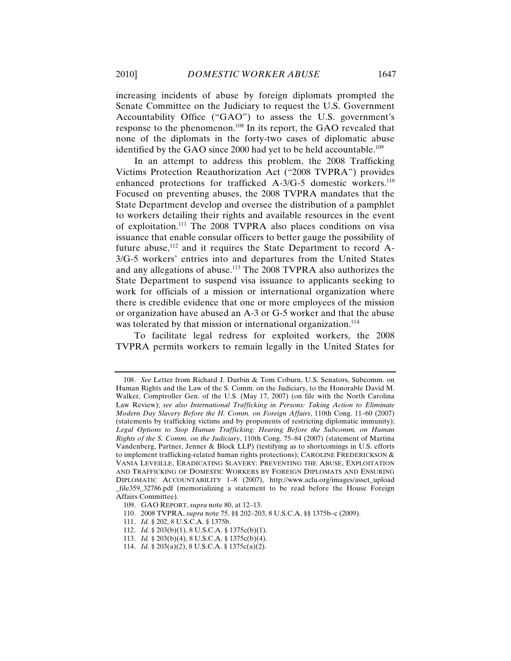increasing incidents of abuse by foreign diplomats prompted the Senate Committee on the Judiciary to request the U.S. Government Accountability Office ("GAO") to assess the U.S. government's response to the phenomenon.108 In its report, the GAO revealed that none of the diplomats in the forty-two cases of diplomatic abuse identified by the GAO since 2000 had yet to be held accountable.<sup>109</sup>

In an attempt to address this problem, the 2008 Trafficking Victims Protection Reauthorization Act ("2008 TVPRA") provides enhanced protections for trafficked  $A-3/G-5$  domestic workers.<sup>110</sup> Focused on preventing abuses, the 2008 TVPRA mandates that the State Department develop and oversee the distribution of a pamphlet to workers detailing their rights and available resources in the event of exploitation.111 The 2008 TVPRA also places conditions on visa issuance that enable consular officers to better gauge the possibility of future abuse, $112$  and it requires the State Department to record A-3/G-5 workers' entries into and departures from the United States and any allegations of abuse.113 The 2008 TVPRA also authorizes the State Department to suspend visa issuance to applicants seeking to work for officials of a mission or international organization where there is credible evidence that one or more employees of the mission or organization have abused an A-3 or G-5 worker and that the abuse was tolerated by that mission or international organization.<sup>114</sup>

To facilitate legal redress for exploited workers, the 2008 TVPRA permits workers to remain legally in the United States for

<sup>108.</sup> *See* Letter from Richard J. Durbin & Tom Coburn, U.S. Senators, Subcomm. on Human Rights and the Law of the S. Comm. on the Judiciary, to the Honorable David M. Walker, Comptroller Gen. of the U.S. (May 17, 2007) (on file with the North Carolina Law Review); *see also International Trafficking in Persons: Taking Action to Eliminate Modern Day Slavery Before the H. Comm. on Foreign Affairs*, 110th Cong. 11–60 (2007) (statements by trafficking victims and by proponents of restricting diplomatic immunity); *Legal Options to Stop Human Trafficking: Hearing Before the Subcomm. on Human Rights of the S. Comm. on the Judiciary*, 110th Cong. 75–84 (2007) (statement of Martina Vandenberg, Partner, Jenner & Block LLP) (testifying as to shortcomings in U.S. efforts to implement trafficking-related human rights protections); CAROLINE FREDERICKSON & VANIA LEVEILLE, ERADICATING SLAVERY: PREVENTING THE ABUSE, EXPLOITATION AND TRAFFICKING OF DOMESTIC WORKERS BY FOREIGN DIPLOMATS AND ENSURING DIPLOMATIC ACCOUNTABILITY 1–8 (2007), http://www.aclu.org/images/asset\_upload \_file359\_32786.pdf (memorializing a statement to be read before the House Foreign Affairs Committee).

<sup>109.</sup> GAO REPORT, *supra* note 80, at 12–13.

<sup>110.</sup> 2008 TVPRA, *supra* note 75, §§ 202–203, 8 U.S.C.A. §§ 1375b–c (2009).

<sup>111.</sup> *Id.* § 202, 8 U.S.C.A. § 1375b.

<sup>112.</sup> *Id.* § 203(b)(1), 8 U.S.C.A. § 1375c(b)(1).

<sup>113.</sup> *Id.* § 203(b)(4), 8 U.S.C.A. § 1375c(b)(4).

<sup>114.</sup> *Id.* § 203(a)(2), 8 U.S.C.A. § 1375c(a)(2).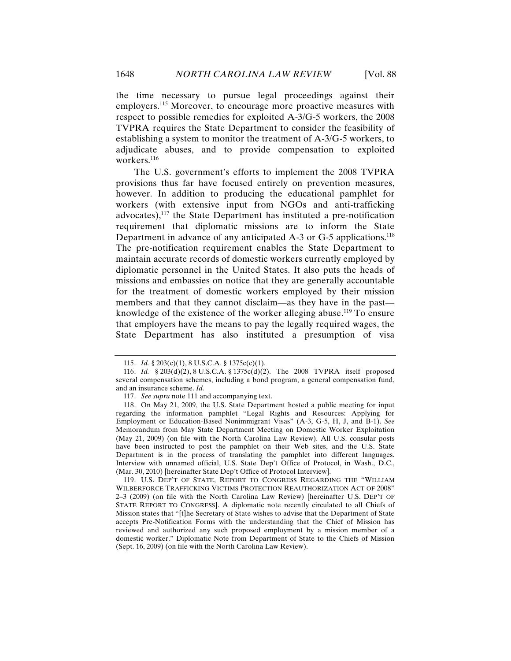the time necessary to pursue legal proceedings against their employers.<sup>115</sup> Moreover, to encourage more proactive measures with respect to possible remedies for exploited A-3/G-5 workers, the 2008 TVPRA requires the State Department to consider the feasibility of establishing a system to monitor the treatment of A-3/G-5 workers, to adjudicate abuses, and to provide compensation to exploited workers.<sup>116</sup>

The U.S. government's efforts to implement the 2008 TVPRA provisions thus far have focused entirely on prevention measures, however. In addition to producing the educational pamphlet for workers (with extensive input from NGOs and anti-trafficking advocates), $117$  the State Department has instituted a pre-notification requirement that diplomatic missions are to inform the State Department in advance of any anticipated A-3 or G-5 applications.<sup>118</sup> The pre-notification requirement enables the State Department to maintain accurate records of domestic workers currently employed by diplomatic personnel in the United States. It also puts the heads of missions and embassies on notice that they are generally accountable for the treatment of domestic workers employed by their mission members and that they cannot disclaim—as they have in the past knowledge of the existence of the worker alleging abuse.<sup>119</sup> To ensure that employers have the means to pay the legally required wages, the State Department has also instituted a presumption of visa

119. U.S. DEP'T OF STATE, REPORT TO CONGRESS REGARDING THE "WILLIAM WILBERFORCE TRAFFICKING VICTIMS PROTECTION REAUTHORIZATION ACT OF 2008" 2–3 (2009) (on file with the North Carolina Law Review) [hereinafter U.S. DEP'T OF STATE REPORT TO CONGRESS]. A diplomatic note recently circulated to all Chiefs of Mission states that "[t]he Secretary of State wishes to advise that the Department of State accepts Pre-Notification Forms with the understanding that the Chief of Mission has reviewed and authorized any such proposed employment by a mission member of a domestic worker." Diplomatic Note from Department of State to the Chiefs of Mission (Sept. 16, 2009) (on file with the North Carolina Law Review).

<sup>115.</sup> *Id.* § 203(c)(1), 8 U.S.C.A. § 1375c(c)(1).

<sup>116.</sup> *Id.* § 203(d)(2), 8 U.S.C.A. § 1375c(d)(2). The 2008 TVPRA itself proposed several compensation schemes, including a bond program, a general compensation fund, and an insurance scheme. *Id.*

<sup>117.</sup> *See supra* note 111 and accompanying text.

<sup>118.</sup> On May 21, 2009, the U.S. State Department hosted a public meeting for input regarding the information pamphlet "Legal Rights and Resources: Applying for Employment or Education-Based Nonimmigrant Visas" (A-3, G-5, H, J, and B-1). *See*  Memorandum from May State Department Meeting on Domestic Worker Exploitation (May 21, 2009) (on file with the North Carolina Law Review). All U.S. consular posts have been instructed to post the pamphlet on their Web sites, and the U.S. State Department is in the process of translating the pamphlet into different languages. Interview with unnamed official, U.S. State Dep't Office of Protocol, in Wash., D.C., (Mar. 30, 2010) [hereinafter State Dep't Office of Protocol Interview].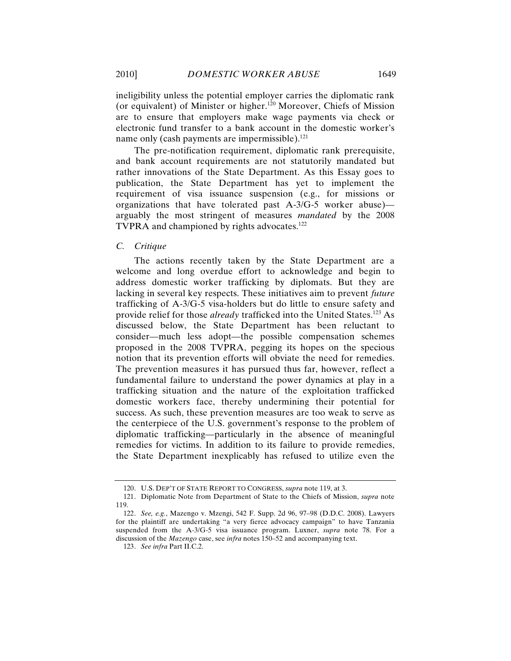2010] *DOMESTIC WORKER ABUSE* 1649

ineligibility unless the potential employer carries the diplomatic rank (or equivalent) of Minister or higher.120 Moreover, Chiefs of Mission are to ensure that employers make wage payments via check or electronic fund transfer to a bank account in the domestic worker's name only (cash payments are impermissible).<sup>121</sup>

The pre-notification requirement, diplomatic rank prerequisite, and bank account requirements are not statutorily mandated but rather innovations of the State Department. As this Essay goes to publication, the State Department has yet to implement the requirement of visa issuance suspension (e.g., for missions or organizations that have tolerated past A-3/G-5 worker abuse) arguably the most stringent of measures *mandated* by the 2008 TVPRA and championed by rights advocates.<sup>122</sup>

#### *C. Critique*

The actions recently taken by the State Department are a welcome and long overdue effort to acknowledge and begin to address domestic worker trafficking by diplomats. But they are lacking in several key respects. These initiatives aim to prevent *future* trafficking of A-3/G-5 visa-holders but do little to ensure safety and provide relief for those *already* trafficked into the United States.123 As discussed below, the State Department has been reluctant to consider—much less adopt—the possible compensation schemes proposed in the 2008 TVPRA, pegging its hopes on the specious notion that its prevention efforts will obviate the need for remedies. The prevention measures it has pursued thus far, however, reflect a fundamental failure to understand the power dynamics at play in a trafficking situation and the nature of the exploitation trafficked domestic workers face, thereby undermining their potential for success. As such, these prevention measures are too weak to serve as the centerpiece of the U.S. government's response to the problem of diplomatic trafficking—particularly in the absence of meaningful remedies for victims. In addition to its failure to provide remedies, the State Department inexplicably has refused to utilize even the

<sup>120.</sup> U.S. DEP'T OF STATE REPORT TO CONGRESS, *supra* note 119, at 3.

<sup>121.</sup> Diplomatic Note from Department of State to the Chiefs of Mission, *supra* note 119.

<sup>122.</sup> *See, e.g.*, Mazengo v. Mzengi, 542 F. Supp. 2d 96, 97–98 (D.D.C. 2008). Lawyers for the plaintiff are undertaking "a very fierce advocacy campaign" to have Tanzania suspended from the A-3/G-5 visa issuance program. Luxner, *supra* note 78. For a discussion of the *Mazengo* case, see *infra* notes 150–52 and accompanying text.

<sup>123.</sup> *See infra* Part II.C.2.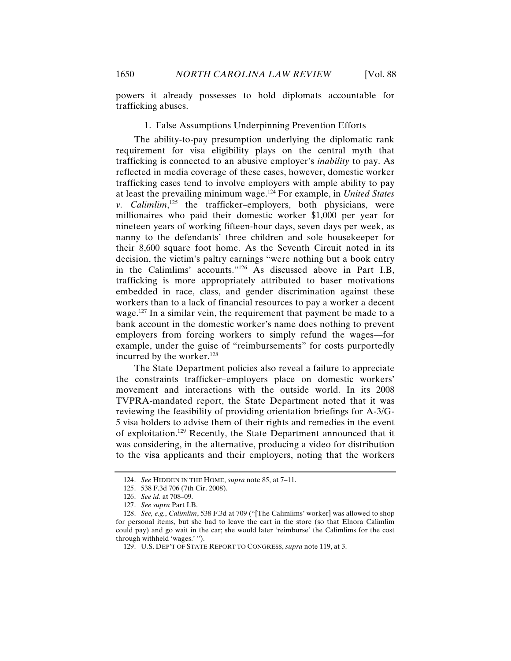powers it already possesses to hold diplomats accountable for trafficking abuses.

### 1. False Assumptions Underpinning Prevention Efforts

The ability-to-pay presumption underlying the diplomatic rank requirement for visa eligibility plays on the central myth that trafficking is connected to an abusive employer's *inability* to pay. As reflected in media coverage of these cases, however, domestic worker trafficking cases tend to involve employers with ample ability to pay at least the prevailing minimum wage.124 For example, in *United States v. Calimlim*, 125 the trafficker–employers, both physicians, were millionaires who paid their domestic worker \$1,000 per year for nineteen years of working fifteen-hour days, seven days per week, as nanny to the defendants' three children and sole housekeeper for their 8,600 square foot home. As the Seventh Circuit noted in its decision, the victim's paltry earnings "were nothing but a book entry in the Calimlims' accounts."126 As discussed above in Part I.B, trafficking is more appropriately attributed to baser motivations embedded in race, class, and gender discrimination against these workers than to a lack of financial resources to pay a worker a decent wage.<sup>127</sup> In a similar vein, the requirement that payment be made to a bank account in the domestic worker's name does nothing to prevent employers from forcing workers to simply refund the wages—for example, under the guise of "reimbursements" for costs purportedly incurred by the worker.<sup>128</sup>

The State Department policies also reveal a failure to appreciate the constraints trafficker–employers place on domestic workers' movement and interactions with the outside world. In its 2008 TVPRA-mandated report, the State Department noted that it was reviewing the feasibility of providing orientation briefings for A-3/G-5 visa holders to advise them of their rights and remedies in the event of exploitation.129 Recently, the State Department announced that it was considering, in the alternative, producing a video for distribution to the visa applicants and their employers, noting that the workers

<sup>124.</sup> *See* HIDDEN IN THE HOME, *supra* note 85, at 7–11.

<sup>125.</sup> 538 F.3d 706 (7th Cir. 2008).

<sup>126.</sup> *See id.* at 708–09.

<sup>127.</sup> *See supra* Part I.B.

<sup>128.</sup> *See, e.g.*, *Calimlim*, 538 F.3d at 709 ("[The Calimlims' worker] was allowed to shop for personal items, but she had to leave the cart in the store (so that Elnora Calimlim could pay) and go wait in the car; she would later 'reimburse' the Calimlims for the cost through withheld 'wages.' ").

<sup>129.</sup> U.S. DEP'T OF STATE REPORT TO CONGRESS, *supra* note 119, at 3.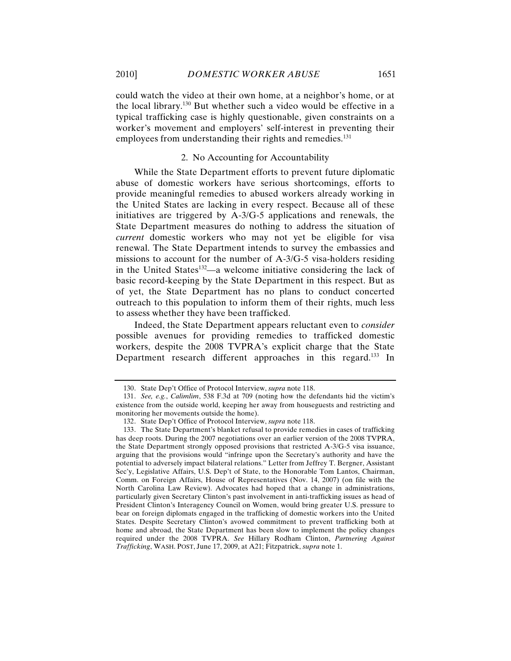could watch the video at their own home, at a neighbor's home, or at the local library.130 But whether such a video would be effective in a typical trafficking case is highly questionable, given constraints on a worker's movement and employers' self-interest in preventing their employees from understanding their rights and remedies.<sup>131</sup>

## 2. No Accounting for Accountability

While the State Department efforts to prevent future diplomatic abuse of domestic workers have serious shortcomings, efforts to provide meaningful remedies to abused workers already working in the United States are lacking in every respect. Because all of these initiatives are triggered by A-3/G-5 applications and renewals, the State Department measures do nothing to address the situation of *current* domestic workers who may not yet be eligible for visa renewal. The State Department intends to survey the embassies and missions to account for the number of A-3/G-5 visa-holders residing in the United States<sup>132</sup>—a welcome initiative considering the lack of basic record-keeping by the State Department in this respect. But as of yet, the State Department has no plans to conduct concerted outreach to this population to inform them of their rights, much less to assess whether they have been trafficked.

Indeed, the State Department appears reluctant even to *consider* possible avenues for providing remedies to trafficked domestic workers, despite the 2008 TVPRA's explicit charge that the State Department research different approaches in this regard.<sup>133</sup> In

<sup>130.</sup> State Dep't Office of Protocol Interview, *supra* note 118.

<sup>131.</sup> *See, e.g.*, *Calimlim*, 538 F.3d at 709 (noting how the defendants hid the victim's existence from the outside world, keeping her away from houseguests and restricting and monitoring her movements outside the home).

<sup>132.</sup> State Dep't Office of Protocol Interview, *supra* note 118.

<sup>133.</sup> The State Department's blanket refusal to provide remedies in cases of trafficking has deep roots. During the 2007 negotiations over an earlier version of the 2008 TVPRA, the State Department strongly opposed provisions that restricted A-3/G-5 visa issuance, arguing that the provisions would "infringe upon the Secretary's authority and have the potential to adversely impact bilateral relations." Letter from Jeffrey T. Bergner, Assistant Sec'y, Legislative Affairs, U.S. Dep't of State, to the Honorable Tom Lantos, Chairman, Comm. on Foreign Affairs, House of Representatives (Nov. 14, 2007) (on file with the North Carolina Law Review). Advocates had hoped that a change in administrations, particularly given Secretary Clinton's past involvement in anti-trafficking issues as head of President Clinton's Interagency Council on Women, would bring greater U.S. pressure to bear on foreign diplomats engaged in the trafficking of domestic workers into the United States. Despite Secretary Clinton's avowed commitment to prevent trafficking both at home and abroad, the State Department has been slow to implement the policy changes required under the 2008 TVPRA. *See* Hillary Rodham Clinton, *Partnering Against Trafficking*, WASH. POST, June 17, 2009, at A21; Fitzpatrick, *supra* note 1.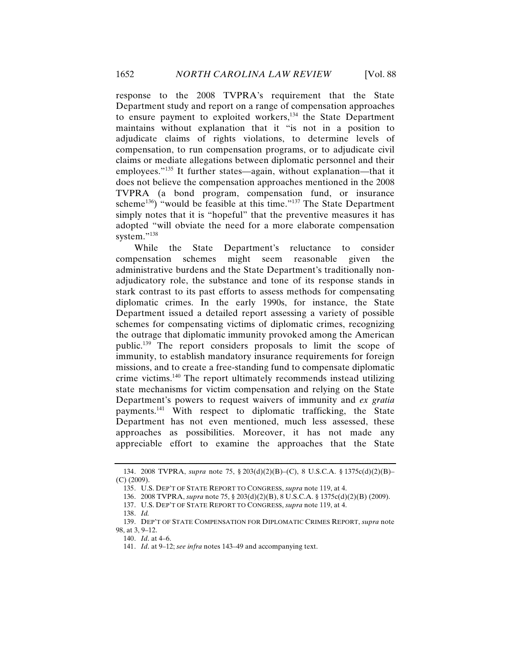response to the 2008 TVPRA's requirement that the State Department study and report on a range of compensation approaches to ensure payment to exploited workers,<sup>134</sup> the State Department maintains without explanation that it "is not in a position to adjudicate claims of rights violations, to determine levels of compensation, to run compensation programs, or to adjudicate civil claims or mediate allegations between diplomatic personnel and their employees."135 It further states—again, without explanation—that it does not believe the compensation approaches mentioned in the 2008 TVPRA (a bond program, compensation fund, or insurance scheme<sup>136</sup>) "would be feasible at this time."<sup>137</sup> The State Department simply notes that it is "hopeful" that the preventive measures it has adopted "will obviate the need for a more elaborate compensation system."<sup>138</sup>

While the State Department's reluctance to consider compensation schemes might seem reasonable given the administrative burdens and the State Department's traditionally nonadjudicatory role, the substance and tone of its response stands in stark contrast to its past efforts to assess methods for compensating diplomatic crimes. In the early 1990s, for instance, the State Department issued a detailed report assessing a variety of possible schemes for compensating victims of diplomatic crimes, recognizing the outrage that diplomatic immunity provoked among the American public.139 The report considers proposals to limit the scope of immunity, to establish mandatory insurance requirements for foreign missions, and to create a free-standing fund to compensate diplomatic crime victims.140 The report ultimately recommends instead utilizing state mechanisms for victim compensation and relying on the State Department's powers to request waivers of immunity and *ex gratia* payments.141 With respect to diplomatic trafficking, the State Department has not even mentioned, much less assessed, these approaches as possibilities. Moreover, it has not made any appreciable effort to examine the approaches that the State

<sup>134.</sup> 2008 TVPRA, *supra* note 75, § 203(d)(2)(B)–(C), 8 U.S.C.A. § 1375c(d)(2)(B)– (C) (2009).

<sup>135.</sup> U.S. DEP'T OF STATE REPORT TO CONGRESS, *supra* note 119, at 4.

<sup>136.</sup> 2008 TVPRA, *supra* note 75, § 203(d)(2)(B), 8 U.S.C.A. § 1375c(d)(2)(B) (2009).

<sup>137.</sup> U.S. DEP'T OF STATE REPORT TO CONGRESS, *supra* note 119, at 4.

<sup>138.</sup> *Id.*

<sup>139.</sup> DEP'T OF STATE COMPENSATION FOR DIPLOMATIC CRIMES REPORT, *supra* note 98, at 3, 9–12.

<sup>140.</sup> *Id*. at 4–6.

<sup>141.</sup> *Id*. at 9–12; *see infra* notes 143–49 and accompanying text.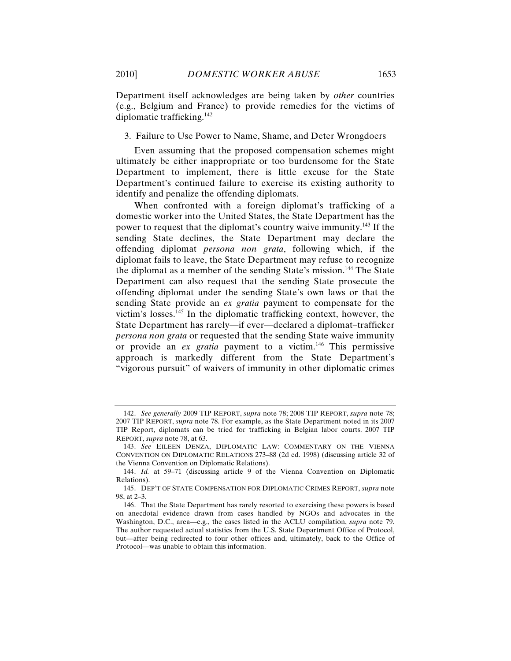Department itself acknowledges are being taken by *other* countries (e.g., Belgium and France) to provide remedies for the victims of diplomatic trafficking.142

3. Failure to Use Power to Name, Shame, and Deter Wrongdoers

Even assuming that the proposed compensation schemes might ultimately be either inappropriate or too burdensome for the State Department to implement, there is little excuse for the State Department's continued failure to exercise its existing authority to identify and penalize the offending diplomats.

When confronted with a foreign diplomat's trafficking of a domestic worker into the United States, the State Department has the power to request that the diplomat's country waive immunity.143 If the sending State declines, the State Department may declare the offending diplomat *persona non grata*, following which, if the diplomat fails to leave, the State Department may refuse to recognize the diplomat as a member of the sending State's mission.<sup>144</sup> The State Department can also request that the sending State prosecute the offending diplomat under the sending State's own laws or that the sending State provide an *ex gratia* payment to compensate for the victim's losses. <sup>145</sup> In the diplomatic trafficking context, however, the State Department has rarely—if ever—declared a diplomat–trafficker *persona non grata* or requested that the sending State waive immunity or provide an *ex gratia* payment to a victim.146 This permissive approach is markedly different from the State Department's "vigorous pursuit" of waivers of immunity in other diplomatic crimes

<sup>142.</sup> *See generally* 2009 TIP REPORT, *supra* note 78; 2008 TIP REPORT, *supra* note 78; 2007 TIP REPORT, *supra* note 78. For example, as the State Department noted in its 2007 TIP Report, diplomats can be tried for trafficking in Belgian labor courts. 2007 TIP REPORT, *supra* note 78, at 63.

<sup>143.</sup> *See* EILEEN DENZA, DIPLOMATIC LAW: COMMENTARY ON THE VIENNA CONVENTION ON DIPLOMATIC RELATIONS 273–88 (2d ed. 1998) (discussing article 32 of the Vienna Convention on Diplomatic Relations).

<sup>144.</sup> *Id.* at 59–71 (discussing article 9 of the Vienna Convention on Diplomatic Relations).

<sup>145.</sup> DEP'T OF STATE COMPENSATION FOR DIPLOMATIC CRIMES REPORT, *supra* note 98, at 2–3.

<sup>146.</sup> That the State Department has rarely resorted to exercising these powers is based on anecdotal evidence drawn from cases handled by NGOs and advocates in the Washington, D.C., area—e.g., the cases listed in the ACLU compilation, *supra* note 79. The author requested actual statistics from the U.S. State Department Office of Protocol, but—after being redirected to four other offices and, ultimately, back to the Office of Protocol—was unable to obtain this information.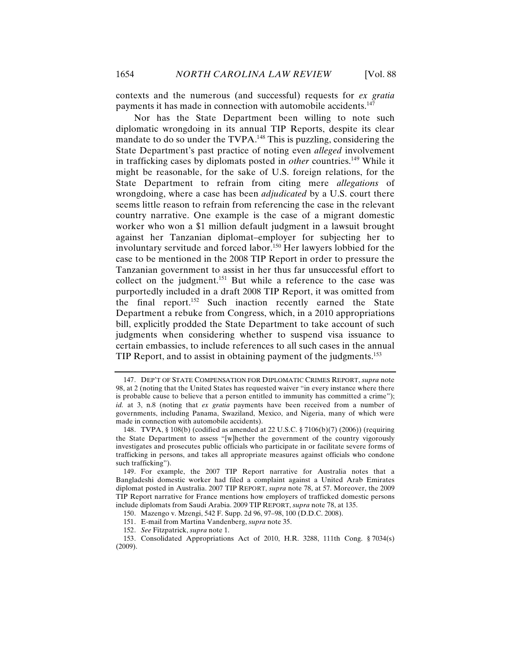contexts and the numerous (and successful) requests for *ex gratia* payments it has made in connection with automobile accidents.<sup>147</sup>

Nor has the State Department been willing to note such diplomatic wrongdoing in its annual TIP Reports, despite its clear mandate to do so under the TVPA.<sup>148</sup> This is puzzling, considering the State Department's past practice of noting even *alleged* involvement in trafficking cases by diplomats posted in *other* countries.<sup>149</sup> While it might be reasonable, for the sake of U.S. foreign relations, for the State Department to refrain from citing mere *allegations* of wrongdoing, where a case has been *adjudicated* by a U.S. court there seems little reason to refrain from referencing the case in the relevant country narrative. One example is the case of a migrant domestic worker who won a \$1 million default judgment in a lawsuit brought against her Tanzanian diplomat–employer for subjecting her to involuntary servitude and forced labor.<sup>150</sup> Her lawyers lobbied for the case to be mentioned in the 2008 TIP Report in order to pressure the Tanzanian government to assist in her thus far unsuccessful effort to collect on the judgment.<sup>151</sup> But while a reference to the case was purportedly included in a draft 2008 TIP Report, it was omitted from the final report.<sup>152</sup> Such inaction recently earned the State Department a rebuke from Congress, which, in a 2010 appropriations bill, explicitly prodded the State Department to take account of such judgments when considering whether to suspend visa issuance to certain embassies, to include references to all such cases in the annual TIP Report, and to assist in obtaining payment of the judgments.<sup>153</sup>

<sup>147.</sup> DEP'T OF STATE COMPENSATION FOR DIPLOMATIC CRIMES REPORT, *supra* note 98, at 2 (noting that the United States has requested waiver "in every instance where there is probable cause to believe that a person entitled to immunity has committed a crime"); *id.* at 3, n.8 (noting that *ex gratia* payments have been received from a number of governments, including Panama, Swaziland, Mexico, and Nigeria, many of which were made in connection with automobile accidents).

<sup>148.</sup> TVPA, § 108(b) (codified as amended at 22 U.S.C. § 7106(b)(7) (2006)) (requiring the State Department to assess "[w]hether the government of the country vigorously investigates and prosecutes public officials who participate in or facilitate severe forms of trafficking in persons, and takes all appropriate measures against officials who condone such trafficking").

<sup>149.</sup> For example, the 2007 TIP Report narrative for Australia notes that a Bangladeshi domestic worker had filed a complaint against a United Arab Emirates diplomat posted in Australia. 2007 TIP REPORT, *supra* note 78, at 57. Moreover, the 2009 TIP Report narrative for France mentions how employers of trafficked domestic persons include diplomats from Saudi Arabia. 2009 TIP REPORT, *supra* note 78, at 135.

<sup>150.</sup> Mazengo v. Mzengi, 542 F. Supp. 2d 96, 97–98, 100 (D.D.C. 2008).

<sup>151.</sup> E-mail from Martina Vandenberg, *supra* note 35.

<sup>152.</sup> *See* Fitzpatrick, *supra* note 1.

<sup>153.</sup> Consolidated Appropriations Act of 2010, H.R. 3288, 111th Cong. § 7034(s) (2009).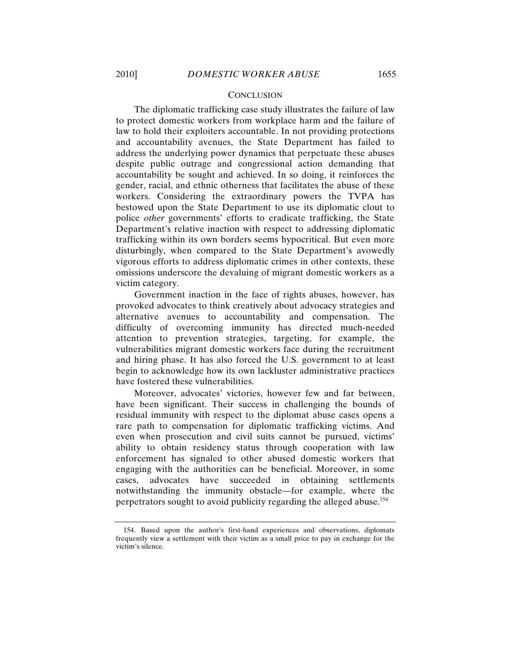#### **CONCLUSION**

The diplomatic trafficking case study illustrates the failure of law to protect domestic workers from workplace harm and the failure of law to hold their exploiters accountable. In not providing protections and accountability avenues, the State Department has failed to address the underlying power dynamics that perpetuate these abuses despite public outrage and congressional action demanding that accountability be sought and achieved. In so doing, it reinforces the gender, racial, and ethnic otherness that facilitates the abuse of these workers. Considering the extraordinary powers the TVPA has bestowed upon the State Department to use its diplomatic clout to police *other* governments' efforts to eradicate trafficking, the State Department's relative inaction with respect to addressing diplomatic trafficking within its own borders seems hypocritical. But even more disturbingly, when compared to the State Department's avowedly vigorous efforts to address diplomatic crimes in other contexts, these omissions underscore the devaluing of migrant domestic workers as a victim category.

Government inaction in the face of rights abuses, however, has provoked advocates to think creatively about advocacy strategies and alternative avenues to accountability and compensation. The difficulty of overcoming immunity has directed much-needed attention to prevention strategies, targeting, for example, the vulnerabilities migrant domestic workers face during the recruitment and hiring phase. It has also forced the U.S. government to at least begin to acknowledge how its own lackluster administrative practices have fostered these vulnerabilities.

Moreover, advocates' victories, however few and far between, have been significant. Their success in challenging the bounds of residual immunity with respect to the diplomat abuse cases opens a rare path to compensation for diplomatic trafficking victims. And even when prosecution and civil suits cannot be pursued, victims' ability to obtain residency status through cooperation with law enforcement has signaled to other abused domestic workers that engaging with the authorities can be beneficial. Moreover, in some cases, advocates have succeeded in obtaining settlements notwithstanding the immunity obstacle—for example, where the perpetrators sought to avoid publicity regarding the alleged abuse. 154

<sup>154.</sup> Based upon the author's first-hand experiences and observations, diplomats frequently view a settlement with their victim as a small price to pay in exchange for the victim's silence.